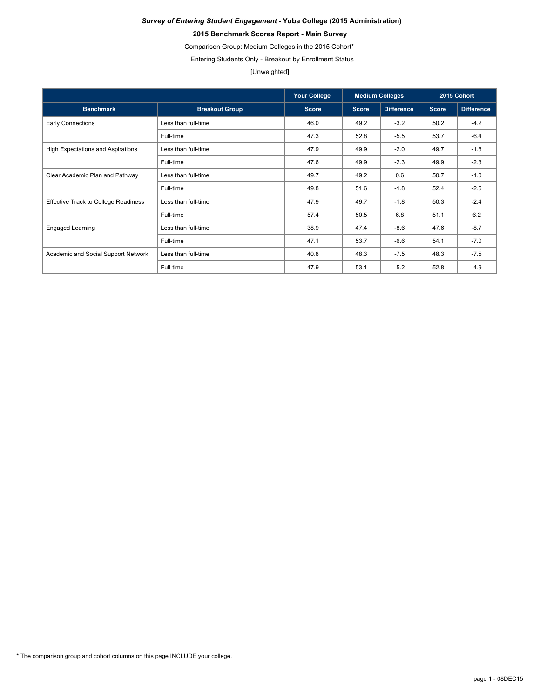### **2015 Benchmark Scores Report - Main Survey**

Comparison Group: Medium Colleges in the 2015 Cohort\*

Entering Students Only - Breakout by Enrollment Status

### [Unweighted]

|                                             |                       | <b>Your College</b> | <b>Medium Colleges</b> |                   |              | 2015 Cohort       |
|---------------------------------------------|-----------------------|---------------------|------------------------|-------------------|--------------|-------------------|
| <b>Benchmark</b>                            | <b>Breakout Group</b> | <b>Score</b>        | Score                  | <b>Difference</b> | <b>Score</b> | <b>Difference</b> |
| <b>Early Connections</b>                    | Less than full-time   | 46.0                | 49.2                   | $-3.2$            | 50.2         | $-4.2$            |
|                                             | Full-time             | 47.3                | 52.8                   | $-5.5$            | 53.7         | $-6.4$            |
| <b>High Expectations and Aspirations</b>    | Less than full-time   | 47.9                | 49.9                   | $-2.0$            | 49.7         | $-1.8$            |
|                                             | Full-time             | 47.6                | 49.9                   | $-2.3$            | 49.9         | $-2.3$            |
| Clear Academic Plan and Pathway             | Less than full-time   | 49.7                | 49.2                   | 0.6               | 50.7         | $-1.0$            |
|                                             | Full-time             | 49.8                | 51.6                   | $-1.8$            | 52.4         | $-2.6$            |
| <b>Effective Track to College Readiness</b> | Less than full-time   | 47.9                | 49.7                   | $-1.8$            | 50.3         | $-2.4$            |
|                                             | Full-time             | 57.4                | 50.5                   | 6.8               | 51.1         | 6.2               |
| <b>Engaged Learning</b>                     | Less than full-time   | 38.9                | 47.4                   | $-8.6$            | 47.6         | $-8.7$            |
|                                             | Full-time             | 47.1                | 53.7                   | $-6.6$            | 54.1         | $-7.0$            |
| Academic and Social Support Network         | Less than full-time   | 40.8                | 48.3                   | $-7.5$            | 48.3         | $-7.5$            |
|                                             | Full-time             | 47.9                | 53.1                   | $-5.2$            | 52.8         | $-4.9$            |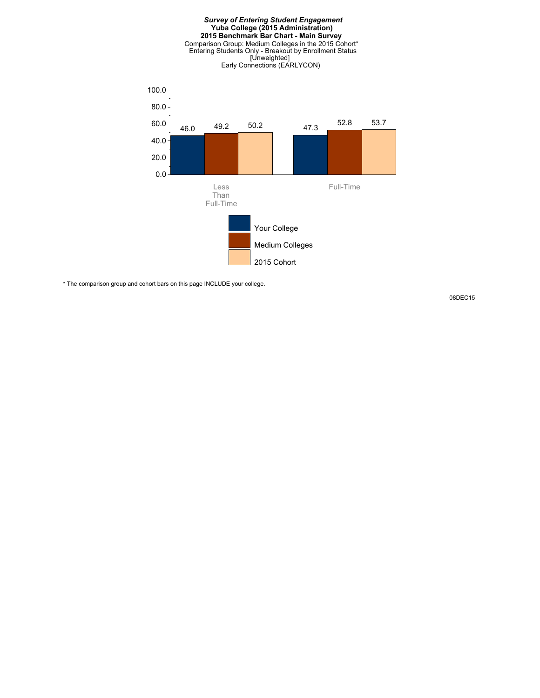

\* The comparison group and cohort bars on this page INCLUDE your college.

08DEC15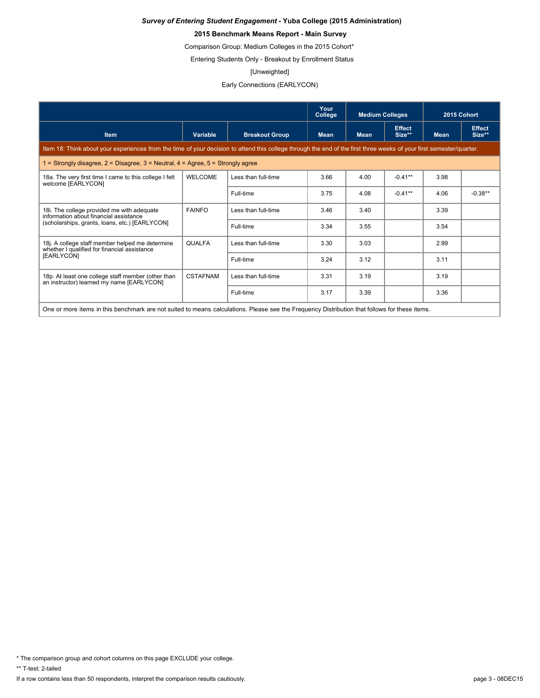### **2015 Benchmark Means Report - Main Survey**

Comparison Group: Medium Colleges in the 2015 Cohort\*

Entering Students Only - Breakout by Enrollment Status

#### [Unweighted]

### Early Connections (EARLYCON)

|                                                                                                                                                                      |                 |                       | Your<br>College | <b>Medium Colleges</b> |                         | 2015 Cohort |                         |  |
|----------------------------------------------------------------------------------------------------------------------------------------------------------------------|-----------------|-----------------------|-----------------|------------------------|-------------------------|-------------|-------------------------|--|
| <b>Item</b>                                                                                                                                                          | Variable        | <b>Breakout Group</b> | <b>Mean</b>     | <b>Mean</b>            | <b>Effect</b><br>Size** | <b>Mean</b> | <b>Effect</b><br>Size** |  |
| Item 18: Think about your experiences from the time of your decision to attend this college through the end of the first three weeks of your first semester/quarter. |                 |                       |                 |                        |                         |             |                         |  |
| 1 = Strongly disagree, $2$ = Disagree, $3$ = Neutral, $4$ = Agree, $5$ = Strongly agree                                                                              |                 |                       |                 |                        |                         |             |                         |  |
| 18a. The very first time I came to this college I felt<br>welcome [EARLYCON]                                                                                         | <b>WELCOME</b>  | Less than full-time   | 3.66            | 4.00                   | $-0.41**$               | 3.98        |                         |  |
|                                                                                                                                                                      |                 | Full-time             | 3.75            | 4.08                   | $-0.41**$               | 4.06        | $-0.38**$               |  |
| 18i. The college provided me with adequate<br>information about financial assistance                                                                                 | <b>FAINFO</b>   | Less than full-time   | 3.46            | 3.40                   |                         | 3.39        |                         |  |
| (scholarships, grants, loans, etc.) [EARLYCON]                                                                                                                       |                 | Full-time             | 3.34            | 3.55                   |                         | 3.54        |                         |  |
| 18j. A college staff member helped me determine<br>whether I qualified for financial assistance                                                                      | <b>QUALFA</b>   | Less than full-time   | 3.30            | 3.03                   |                         | 2.99        |                         |  |
| [EARLYCON]                                                                                                                                                           |                 | Full-time             | 3.24            | 3.12                   |                         | 3.11        |                         |  |
| 18p. At least one college staff member (other than<br>an instructor) learned my name [EARLYCON]                                                                      | <b>CSTAFNAM</b> | Less than full-time   | 3.31            | 3.19                   |                         | 3.19        |                         |  |
|                                                                                                                                                                      |                 | Full-time             | 3.17            | 3.39                   |                         | 3.36        |                         |  |
| One or more items in this benchmark are not suited to means calculations. Please see the Frequency Distribution that follows for these items.                        |                 |                       |                 |                        |                         |             |                         |  |

\* The comparison group and cohort columns on this page EXCLUDE your college.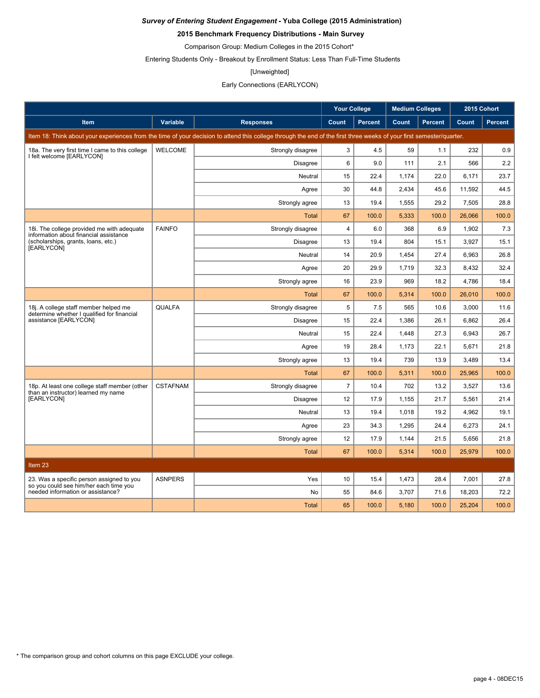### **2015 Benchmark Frequency Distributions - Main Survey**

Comparison Group: Medium Colleges in the 2015 Cohort\*

Entering Students Only - Breakout by Enrollment Status: Less Than Full-Time Students

#### [Unweighted]

### Early Connections (EARLYCON)

|                                                                                      |                 |                                                                                                                                                                      | <b>Your College</b> |                | <b>Medium Colleges</b> |                | 2015 Cohort |                |
|--------------------------------------------------------------------------------------|-----------------|----------------------------------------------------------------------------------------------------------------------------------------------------------------------|---------------------|----------------|------------------------|----------------|-------------|----------------|
| <b>Item</b>                                                                          | Variable        | <b>Responses</b>                                                                                                                                                     | Count               | <b>Percent</b> | Count                  | <b>Percent</b> | Count       | <b>Percent</b> |
|                                                                                      |                 | Item 18: Think about your experiences from the time of your decision to attend this college through the end of the first three weeks of your first semester/quarter. |                     |                |                        |                |             |                |
| 18a. The very first time I came to this college                                      | <b>WELCOME</b>  | Strongly disagree                                                                                                                                                    | 3                   | 4.5            | 59                     | 1.1            | 232         | 0.9            |
| I felt welcome [EARLYCON]                                                            |                 | <b>Disagree</b>                                                                                                                                                      | 6                   | 9.0            | 111                    | 2.1            | 566         | 2.2            |
|                                                                                      |                 | Neutral                                                                                                                                                              | 15                  | 22.4           | 1.174                  | 22.0           | 6.171       | 23.7           |
|                                                                                      |                 | Agree                                                                                                                                                                | 30                  | 44.8           | 2,434                  | 45.6           | 11,592      | 44.5           |
|                                                                                      |                 | Strongly agree                                                                                                                                                       | 13                  | 19.4           | 1,555                  | 29.2           | 7,505       | 28.8           |
|                                                                                      |                 | <b>Total</b>                                                                                                                                                         | 67                  | 100.0          | 5,333                  | 100.0          | 26,066      | 100.0          |
| 18. The college provided me with adequate<br>information about financial assistance  | <b>FAINFO</b>   | Strongly disagree                                                                                                                                                    | $\overline{4}$      | 6.0            | 368                    | 6.9            | 1,902       | 7.3            |
| (scholarships, grants, loans, etc.)<br>[EARLYCON]                                    |                 | <b>Disagree</b>                                                                                                                                                      | 13                  | 19.4           | 804                    | 15.1           | 3,927       | 15.1           |
|                                                                                      |                 | Neutral                                                                                                                                                              | 14                  | 20.9           | 1,454                  | 27.4           | 6.963       | 26.8           |
|                                                                                      |                 | Agree                                                                                                                                                                | 20                  | 29.9           | 1,719                  | 32.3           | 8,432       | 32.4           |
|                                                                                      |                 | Strongly agree                                                                                                                                                       | 16                  | 23.9           | 969                    | 18.2           | 4,786       | 18.4           |
|                                                                                      |                 | <b>Total</b>                                                                                                                                                         | 67                  | 100.0          | 5,314                  | 100.0          | 26,010      | 100.0          |
| 18j. A college staff member helped me<br>determine whether I qualified for financial | <b>QUALFA</b>   | Strongly disagree                                                                                                                                                    | 5                   | 7.5            | 565                    | 10.6           | 3,000       | 11.6           |
| assistance [EARLYCON]                                                                |                 | <b>Disagree</b>                                                                                                                                                      | 15                  | 22.4           | 1,386                  | 26.1           | 6.862       | 26.4           |
|                                                                                      |                 | Neutral                                                                                                                                                              | 15                  | 22.4           | 1,448                  | 27.3           | 6,943       | 26.7           |
|                                                                                      |                 | Agree                                                                                                                                                                | 19                  | 28.4           | 1,173                  | 22.1           | 5.671       | 21.8           |
|                                                                                      |                 | Strongly agree                                                                                                                                                       | 13                  | 19.4           | 739                    | 13.9           | 3,489       | 13.4           |
|                                                                                      |                 | <b>Total</b>                                                                                                                                                         | 67                  | 100.0          | 5,311                  | 100.0          | 25,965      | 100.0          |
| 18p. At least one college staff member (other<br>than an instructor) learned my name | <b>CSTAFNAM</b> | Strongly disagree                                                                                                                                                    | $\overline{7}$      | 10.4           | 702                    | 13.2           | 3,527       | 13.6           |
| [EARLYCON]                                                                           |                 | <b>Disagree</b>                                                                                                                                                      | 12                  | 17.9           | 1,155                  | 21.7           | 5.561       | 21.4           |
|                                                                                      |                 | Neutral                                                                                                                                                              | 13                  | 19.4           | 1,018                  | 19.2           | 4,962       | 19.1           |
|                                                                                      |                 | Agree                                                                                                                                                                | 23                  | 34.3           | 1,295                  | 24.4           | 6.273       | 24.1           |
|                                                                                      |                 | Strongly agree                                                                                                                                                       | 12                  | 17.9           | 1,144                  | 21.5           | 5,656       | 21.8           |
|                                                                                      |                 | <b>Total</b>                                                                                                                                                         | 67                  | 100.0          | 5,314                  | 100.0          | 25,979      | 100.0          |
| Item 23                                                                              |                 |                                                                                                                                                                      |                     |                |                        |                |             |                |
| 23. Was a specific person assigned to you                                            | <b>ASNPERS</b>  | Yes                                                                                                                                                                  | 10                  | 15.4           | 1,473                  | 28.4           | 7,001       | 27.8           |
| so you could see him/her each time you<br>needed information or assistance?          |                 | <b>No</b>                                                                                                                                                            | 55                  | 84.6           | 3,707                  | 71.6           | 18,203      | 72.2           |
|                                                                                      |                 | <b>Total</b>                                                                                                                                                         | 65                  | 100.0          | 5.180                  | 100.0          | 25.204      | 100.0          |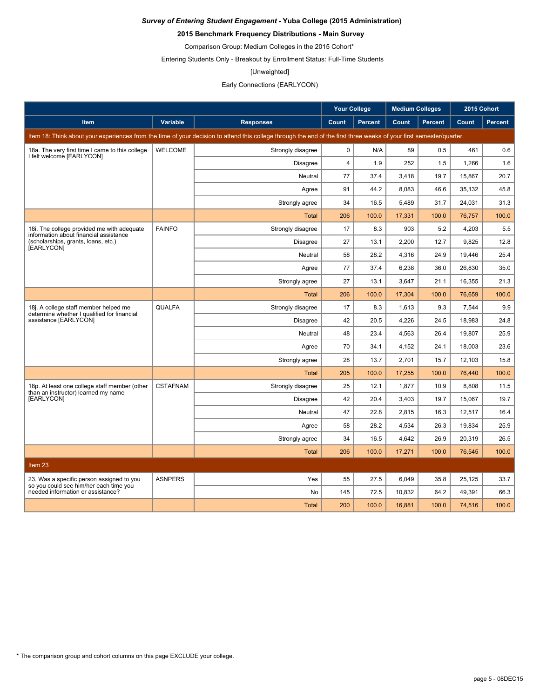### **2015 Benchmark Frequency Distributions - Main Survey**

Comparison Group: Medium Colleges in the 2015 Cohort\*

Entering Students Only - Breakout by Enrollment Status: Full-Time Students

#### [Unweighted]

### Early Connections (EARLYCON)

|                                                                                      |                 |                                                                                                                                                                      | <b>Your College</b> |                | <b>Medium Colleges</b> |                | 2015 Cohort |         |
|--------------------------------------------------------------------------------------|-----------------|----------------------------------------------------------------------------------------------------------------------------------------------------------------------|---------------------|----------------|------------------------|----------------|-------------|---------|
| <b>Item</b>                                                                          | Variable        | <b>Responses</b>                                                                                                                                                     | Count               | <b>Percent</b> | Count                  | <b>Percent</b> | Count       | Percent |
|                                                                                      |                 | Item 18: Think about your experiences from the time of your decision to attend this college through the end of the first three weeks of your first semester/quarter. |                     |                |                        |                |             |         |
| 18a. The very first time I came to this college                                      | <b>WELCOME</b>  | Strongly disagree                                                                                                                                                    | $\mathbf 0$         | N/A            | 89                     | 0.5            | 461         | 0.6     |
| I felt welcome [EARLYCON]                                                            |                 | <b>Disagree</b>                                                                                                                                                      | $\overline{4}$      | 1.9            | 252                    | 1.5            | 1,266       | 1.6     |
|                                                                                      |                 | Neutral                                                                                                                                                              | 77                  | 37.4           | 3,418                  | 19.7           | 15,867      | 20.7    |
|                                                                                      |                 | Agree                                                                                                                                                                | 91                  | 44.2           | 8,083                  | 46.6           | 35,132      | 45.8    |
|                                                                                      |                 | Strongly agree                                                                                                                                                       | 34                  | 16.5           | 5,489                  | 31.7           | 24,031      | 31.3    |
|                                                                                      |                 | Total                                                                                                                                                                | 206                 | 100.0          | 17,331                 | 100.0          | 76,757      | 100.0   |
| 18. The college provided me with adequate<br>information about financial assistance  | <b>FAINFO</b>   | Strongly disagree                                                                                                                                                    | 17                  | 8.3            | 903                    | 5.2            | 4.203       | 5.5     |
| (scholarships, grants, loans, etc.)<br>[EARLYCON]                                    |                 | <b>Disagree</b>                                                                                                                                                      | 27                  | 13.1           | 2,200                  | 12.7           | 9,825       | 12.8    |
|                                                                                      |                 | Neutral                                                                                                                                                              | 58                  | 28.2           | 4,316                  | 24.9           | 19,446      | 25.4    |
|                                                                                      |                 | Agree                                                                                                                                                                | 77                  | 37.4           | 6,238                  | 36.0           | 26,830      | 35.0    |
|                                                                                      |                 | Strongly agree                                                                                                                                                       | 27                  | 13.1           | 3,647                  | 21.1           | 16,355      | 21.3    |
|                                                                                      |                 | <b>Total</b>                                                                                                                                                         | 206                 | 100.0          | 17,304                 | 100.0          | 76.659      | 100.0   |
| 18j. A college staff member helped me<br>determine whether I qualified for financial | QUALFA          | Strongly disagree                                                                                                                                                    | 17                  | 8.3            | 1,613                  | 9.3            | 7,544       | 9.9     |
| assistance [EARLYCON]                                                                |                 | <b>Disagree</b>                                                                                                                                                      | 42                  | 20.5           | 4,226                  | 24.5           | 18,983      | 24.8    |
|                                                                                      |                 | Neutral                                                                                                                                                              | 48                  | 23.4           | 4,563                  | 26.4           | 19,807      | 25.9    |
|                                                                                      |                 | Agree                                                                                                                                                                | 70                  | 34.1           | 4,152                  | 24.1           | 18,003      | 23.6    |
|                                                                                      |                 | Strongly agree                                                                                                                                                       | 28                  | 13.7           | 2,701                  | 15.7           | 12.103      | 15.8    |
|                                                                                      |                 | <b>Total</b>                                                                                                                                                         | 205                 | 100.0          | 17,255                 | 100.0          | 76.440      | 100.0   |
| 18p. At least one college staff member (other<br>than an instructor) learned my name | <b>CSTAFNAM</b> | Strongly disagree                                                                                                                                                    | 25                  | 12.1           | 1,877                  | 10.9           | 8,808       | 11.5    |
| [EARLYCON]                                                                           |                 | <b>Disagree</b>                                                                                                                                                      | 42                  | 20.4           | 3,403                  | 19.7           | 15,067      | 19.7    |
|                                                                                      |                 | Neutral                                                                                                                                                              | 47                  | 22.8           | 2,815                  | 16.3           | 12,517      | 16.4    |
|                                                                                      |                 | Agree                                                                                                                                                                | 58                  | 28.2           | 4,534                  | 26.3           | 19,834      | 25.9    |
|                                                                                      |                 | Strongly agree                                                                                                                                                       | 34                  | 16.5           | 4.642                  | 26.9           | 20.319      | 26.5    |
|                                                                                      |                 | <b>Total</b>                                                                                                                                                         | 206                 | 100.0          | 17,271                 | 100.0          | 76,545      | 100.0   |
| Item <sub>23</sub>                                                                   |                 |                                                                                                                                                                      |                     |                |                        |                |             |         |
| 23. Was a specific person assigned to you                                            | <b>ASNPERS</b>  | Yes                                                                                                                                                                  | 55                  | 27.5           | 6,049                  | 35.8           | 25,125      | 33.7    |
| so you could see him/her each time you<br>needed information or assistance?          |                 | No                                                                                                                                                                   | 145                 | 72.5           | 10,832                 | 64.2           | 49.391      | 66.3    |
|                                                                                      |                 | <b>Total</b>                                                                                                                                                         | 200                 | 100.0          | 16.881                 | 100.0          | 74.516      | 100.0   |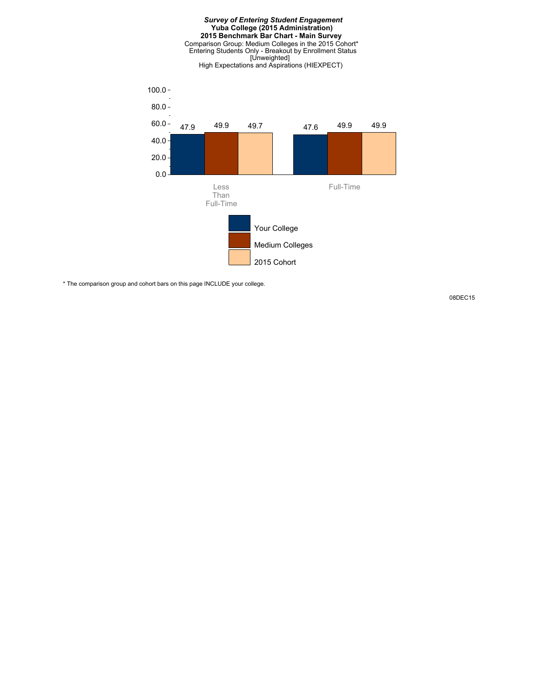



\* The comparison group and cohort bars on this page INCLUDE your college.

08DEC15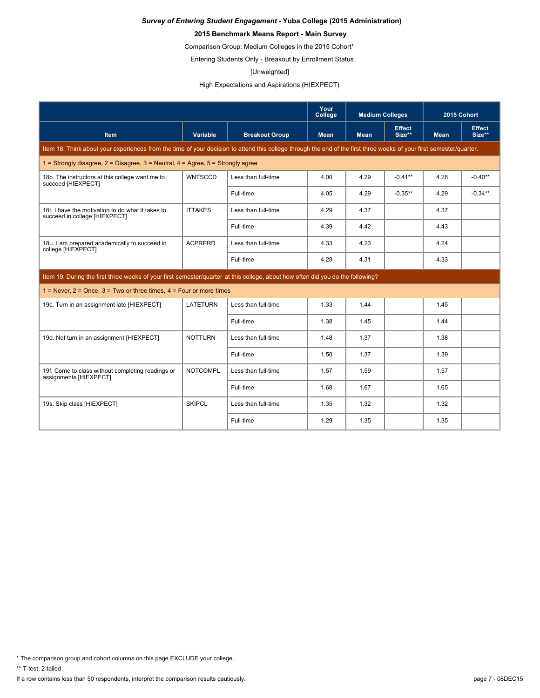### **2015 Benchmark Means Report - Main Survey**

Comparison Group: Medium Colleges in the 2015 Cohort\*

Entering Students Only - Breakout by Enrollment Status

#### [Unweighted]

High Expectations and Aspirations (HIEXPECT)

|                                                                                                                                                                      |                 |                       | Your<br>College | <b>Medium Colleges</b> |                         | 2015 Cohort |                         |
|----------------------------------------------------------------------------------------------------------------------------------------------------------------------|-----------------|-----------------------|-----------------|------------------------|-------------------------|-------------|-------------------------|
| <b>Item</b>                                                                                                                                                          | Variable        | <b>Breakout Group</b> | <b>Mean</b>     | <b>Mean</b>            | <b>Effect</b><br>Size** | <b>Mean</b> | <b>Effect</b><br>Size** |
| Item 18: Think about your experiences from the time of your decision to attend this college through the end of the first three weeks of your first semester/quarter. |                 |                       |                 |                        |                         |             |                         |
| 1 = Strongly disagree, $2$ = Disagree, $3$ = Neutral, $4$ = Agree, $5$ = Strongly agree                                                                              |                 |                       |                 |                        |                         |             |                         |
| 18b. The instructors at this college want me to<br>succeed [HIEXPECT]                                                                                                | <b>WNTSCCD</b>  | Less than full-time   | 4.00            | 4.29                   | $-0.41**$               | 4.28        | $-0.40**$               |
|                                                                                                                                                                      |                 | Full-time             | 4.05            | 4.29                   | $-0.35**$               | 4.29        | $-0.34**$               |
| 18t. I have the motivation to do what it takes to<br>succeed in college [HIEXPECT]                                                                                   | <b>ITTAKES</b>  | Less than full-time   | 4.29            | 4.37                   |                         | 4.37        |                         |
|                                                                                                                                                                      |                 | Full-time             | 4.39            | 4.42                   |                         | 4.43        |                         |
| 18u. I am prepared academically to succeed in<br>college [HIEXPECT]                                                                                                  | <b>ACPRPRD</b>  | Less than full-time   | 4.33            | 4.23                   |                         | 4.24        |                         |
|                                                                                                                                                                      |                 | Full-time             | 4.28            | 4.31                   |                         | 4.33        |                         |
| Item 19: During the first three weeks of your first semester/guarter at this college, about how often did you do the following?                                      |                 |                       |                 |                        |                         |             |                         |
| $1 =$ Never, $2 =$ Once, $3 =$ Two or three times, $4 =$ Four or more times                                                                                          |                 |                       |                 |                        |                         |             |                         |
| 19c. Turn in an assignment late [HIEXPECT]                                                                                                                           | LATETURN        | Less than full-time   | 1.33            | 1.44                   |                         | 1.45        |                         |
|                                                                                                                                                                      |                 | Full-time             | 1.38            | 1.45                   |                         | 1.44        |                         |
| 19d. Not turn in an assignment [HIEXPECT]                                                                                                                            | <b>NOTTURN</b>  | Less than full-time   | 1.48            | 1.37                   |                         | 1.38        |                         |
|                                                                                                                                                                      |                 | Full-time             | 1.50            | 1.37                   |                         | 1.39        |                         |
| 19f. Come to class without completing readings or<br>assignments [HIEXPECT]                                                                                          | <b>NOTCOMPL</b> | Less than full-time   | 1.57            | 1.59                   |                         | 1.57        |                         |
|                                                                                                                                                                      |                 | Full-time             | 1.68            | 1.67                   |                         | 1.65        |                         |
| 19s. Skip class [HIEXPECT]                                                                                                                                           | <b>SKIPCL</b>   | Less than full-time   | 1.35            | 1.32                   |                         | 1.32        |                         |
|                                                                                                                                                                      |                 | Full-time             | 1.29            | 1.35                   |                         | 1.35        |                         |

\* The comparison group and cohort columns on this page EXCLUDE your college.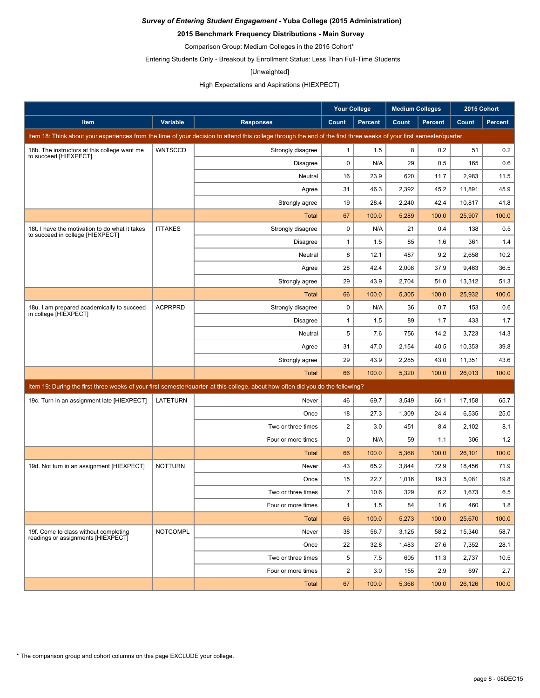### **2015 Benchmark Frequency Distributions - Main Survey**

Comparison Group: Medium Colleges in the 2015 Cohort\*

Entering Students Only - Breakout by Enrollment Status: Less Than Full-Time Students

#### [Unweighted]

### High Expectations and Aspirations (HIEXPECT)

|                                                                                    |                 |                                                                                                                                                                      | <b>Your College</b>     |                | <b>Medium Colleges</b> |                | 2015 Cohort |                |
|------------------------------------------------------------------------------------|-----------------|----------------------------------------------------------------------------------------------------------------------------------------------------------------------|-------------------------|----------------|------------------------|----------------|-------------|----------------|
| <b>Item</b>                                                                        | Variable        | <b>Responses</b>                                                                                                                                                     | Count                   | <b>Percent</b> | Count                  | <b>Percent</b> | Count       | <b>Percent</b> |
|                                                                                    |                 | Item 18: Think about your experiences from the time of your decision to attend this college through the end of the first three weeks of your first semester/quarter. |                         |                |                        |                |             |                |
| 18b. The instructors at this college want me<br>to succeed [HIEXPECT]              | <b>WNTSCCD</b>  | Strongly disagree                                                                                                                                                    | $\mathbf{1}$            | 1.5            | 8                      | 0.2            | 51          | 0.2            |
|                                                                                    |                 | <b>Disagree</b>                                                                                                                                                      | $\mathbf 0$             | N/A            | 29                     | 0.5            | 165         | 0.6            |
|                                                                                    |                 | Neutral                                                                                                                                                              | 16                      | 23.9           | 620                    | 11.7           | 2,983       | 11.5           |
|                                                                                    |                 | Agree                                                                                                                                                                | 31                      | 46.3           | 2,392                  | 45.2           | 11,891      | 45.9           |
|                                                                                    |                 | Strongly agree                                                                                                                                                       | 19                      | 28.4           | 2,240                  | 42.4           | 10,817      | 41.8           |
|                                                                                    |                 | Total                                                                                                                                                                | 67                      | 100.0          | 5,289                  | 100.0          | 25,907      | 100.0          |
| 18t. I have the motivation to do what it takes<br>to succeed in college [HIEXPECT] | <b>ITTAKES</b>  | Strongly disagree                                                                                                                                                    | $\mathbf 0$             | N/A            | 21                     | 0.4            | 138         | 0.5            |
|                                                                                    |                 | Disagree                                                                                                                                                             | 1                       | 1.5            | 85                     | 1.6            | 361         | 1.4            |
|                                                                                    |                 | Neutral                                                                                                                                                              | 8                       | 12.1           | 487                    | 9.2            | 2,658       | 10.2           |
|                                                                                    |                 | Agree                                                                                                                                                                | 28                      | 42.4           | 2,008                  | 37.9           | 9,463       | 36.5           |
|                                                                                    |                 | Strongly agree                                                                                                                                                       | 29                      | 43.9           | 2,704                  | 51.0           | 13,312      | 51.3           |
|                                                                                    |                 | Total                                                                                                                                                                | 66                      | 100.0          | 5,305                  | 100.0          | 25,932      | 100.0          |
| 18u. I am prepared academically to succeed<br>in college [HIEXPECT]                | <b>ACPRPRD</b>  | Strongly disagree                                                                                                                                                    | 0                       | N/A            | 36                     | 0.7            | 153         | 0.6            |
|                                                                                    |                 | <b>Disagree</b>                                                                                                                                                      | $\mathbf{1}$            | 1.5            | 89                     | 1.7            | 433         | 1.7            |
|                                                                                    |                 | Neutral                                                                                                                                                              | 5                       | 7.6            | 756                    | 14.2           | 3,723       | 14.3           |
|                                                                                    |                 | Agree                                                                                                                                                                | 31                      | 47.0           | 2,154                  | 40.5           | 10,353      | 39.8           |
|                                                                                    |                 | Strongly agree                                                                                                                                                       | 29                      | 43.9           | 2,285                  | 43.0           | 11,351      | 43.6           |
|                                                                                    |                 | <b>Total</b>                                                                                                                                                         | 66                      | 100.0          | 5,320                  | 100.0          | 26,013      | 100.0          |
|                                                                                    |                 | Item 19: During the first three weeks of your first semester/quarter at this college, about how often did you do the following?                                      |                         |                |                        |                |             |                |
| 19c. Turn in an assignment late [HIEXPECT]                                         | <b>LATETURN</b> | Never                                                                                                                                                                | 46                      | 69.7           | 3,549                  | 66.1           | 17,158      | 65.7           |
|                                                                                    |                 | Once                                                                                                                                                                 | 18                      | 27.3           | 1,309                  | 24.4           | 6,535       | 25.0           |
|                                                                                    |                 | Two or three times                                                                                                                                                   | $\overline{\mathbf{c}}$ | 3.0            | 451                    | 8.4            | 2,102       | 8.1            |
|                                                                                    |                 | Four or more times                                                                                                                                                   | 0                       | N/A            | 59                     | 1.1            | 306         | 1.2            |
|                                                                                    |                 | <b>Total</b>                                                                                                                                                         | 66                      | 100.0          | 5,368                  | 100.0          | 26,101      | 100.0          |
| 19d. Not turn in an assignment [HIEXPECT]                                          | <b>NOTTURN</b>  | Never                                                                                                                                                                | 43                      | 65.2           | 3,844                  | 72.9           | 18,456      | 71.9           |
|                                                                                    |                 | Once                                                                                                                                                                 | 15                      | 22.7           | 1,016                  | 19.3           | 5,081       | 19.8           |
|                                                                                    |                 | Two or three times                                                                                                                                                   | $\overline{7}$          | 10.6           | 329                    | 6.2            | 1,673       | 6.5            |
|                                                                                    |                 | Four or more times                                                                                                                                                   | $\mathbf{1}$            | 1.5            | 84                     | 1.6            | 460         | 1.8            |
|                                                                                    |                 | <b>Total</b>                                                                                                                                                         | 66                      | 100.0          | 5,273                  | 100.0          | 25,670      | 100.0          |
| 19f. Come to class without completing                                              | <b>NOTCOMPL</b> | Never                                                                                                                                                                | 38                      | 56.7           | 3,125                  | 58.2           | 15,340      | 58.7           |
| readings or assignments [HIEXPECT]                                                 |                 | Once                                                                                                                                                                 | 22                      | 32.8           | 1,483                  | 27.6           | 7,352       | 28.1           |
|                                                                                    |                 | Two or three times                                                                                                                                                   | 5                       | 7.5            | 605                    | 11.3           | 2,737       | 10.5           |
|                                                                                    |                 | Four or more times                                                                                                                                                   | $\overline{\mathbf{c}}$ | 3.0            | 155                    | 2.9            | 697         | 2.7            |
|                                                                                    |                 | Total                                                                                                                                                                | 67                      | 100.0          | 5,368                  | 100.0          | 26,126      | 100.0          |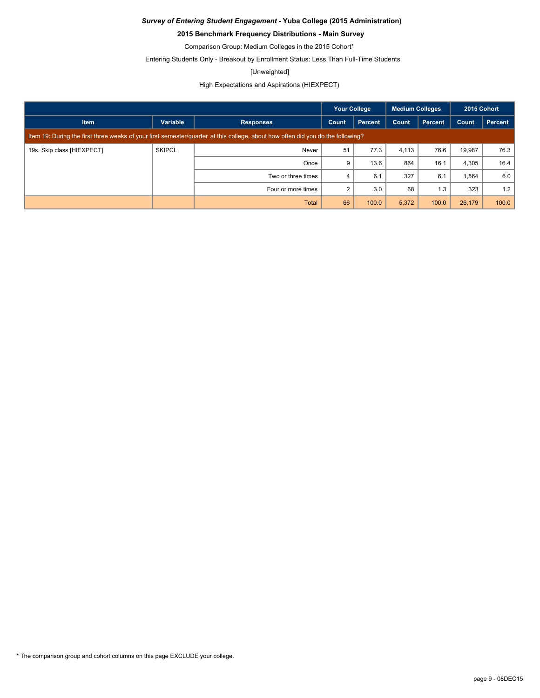### **2015 Benchmark Frequency Distributions - Main Survey**

Comparison Group: Medium Colleges in the 2015 Cohort\*

Entering Students Only - Breakout by Enrollment Status: Less Than Full-Time Students

#### [Unweighted]

### High Expectations and Aspirations (HIEXPECT)

|                            |               |                                                                                                                                 | <b>Your College</b> |         | <b>Medium Colleges</b> |         | 2015 Cohort |         |
|----------------------------|---------------|---------------------------------------------------------------------------------------------------------------------------------|---------------------|---------|------------------------|---------|-------------|---------|
| <b>Item</b>                | Variable      | <b>Responses</b>                                                                                                                | Count               | Percent | Count                  | Percent | Count       | Percent |
|                            |               | Item 19: During the first three weeks of your first semester/quarter at this college, about how often did you do the following? |                     |         |                        |         |             |         |
| 19s. Skip class [HIEXPECT] | <b>SKIPCL</b> | Never                                                                                                                           | 51                  | 77.3    | 4.113                  | 76.6    | 19,987      | 76.3    |
|                            |               | Once                                                                                                                            | 9                   | 13.6    | 864                    | 16.1    | 4,305       | 16.4    |
|                            |               | Two or three times                                                                                                              | 4                   | 6.1     | 327                    | 6.1     | 1,564       | 6.0     |
|                            |               | Four or more times                                                                                                              | 2                   | 3.0     | 68                     | 1.3     | 323         | 1.2     |
|                            |               | <b>Total</b>                                                                                                                    | 66                  | 100.0   | 5,372                  | 100.0   | 26,179      | 100.0   |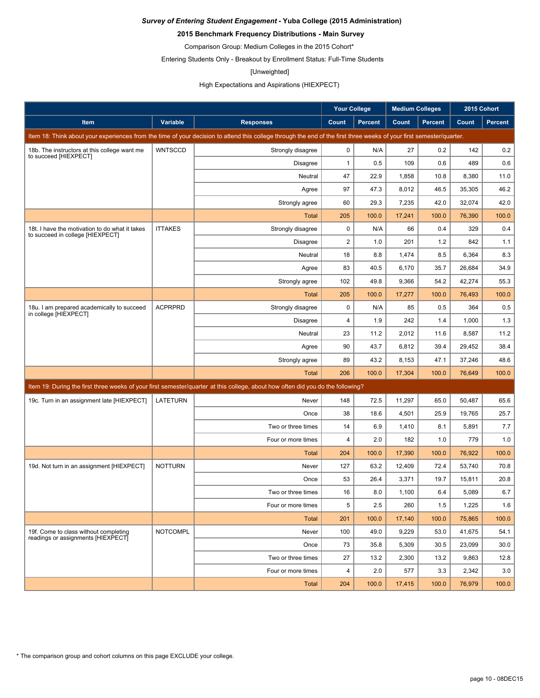### **2015 Benchmark Frequency Distributions - Main Survey**

Comparison Group: Medium Colleges in the 2015 Cohort\*

Entering Students Only - Breakout by Enrollment Status: Full-Time Students

#### [Unweighted]

### High Expectations and Aspirations (HIEXPECT)

|                                                                                    |                 |                                                                                                                                                                      | <b>Your College</b>     |                | <b>Medium Colleges</b> |                |        | 2015 Cohort    |
|------------------------------------------------------------------------------------|-----------------|----------------------------------------------------------------------------------------------------------------------------------------------------------------------|-------------------------|----------------|------------------------|----------------|--------|----------------|
| Item                                                                               | Variable        | <b>Responses</b>                                                                                                                                                     | Count                   | <b>Percent</b> | Count                  | <b>Percent</b> | Count  | <b>Percent</b> |
|                                                                                    |                 | Item 18: Think about your experiences from the time of your decision to attend this college through the end of the first three weeks of your first semester/quarter. |                         |                |                        |                |        |                |
| 18b. The instructors at this college want me                                       | <b>WNTSCCD</b>  | Strongly disagree                                                                                                                                                    | $\mathbf 0$             | N/A            | 27                     | 0.2            | 142    | 0.2            |
| to succeed [HIEXPECT]                                                              |                 | Disagree                                                                                                                                                             | $\mathbf{1}$            | 0.5            | 109                    | 0.6            | 489    | 0.6            |
|                                                                                    |                 | Neutral                                                                                                                                                              | 47                      | 22.9           | 1,858                  | 10.8           | 8,380  | 11.0           |
|                                                                                    |                 | Agree                                                                                                                                                                | 97                      | 47.3           | 8,012                  | 46.5           | 35,305 | 46.2           |
|                                                                                    |                 | Strongly agree                                                                                                                                                       | 60                      | 29.3           | 7,235                  | 42.0           | 32,074 | 42.0           |
|                                                                                    |                 | <b>Total</b>                                                                                                                                                         | 205                     | 100.0          | 17,241                 | 100.0          | 76,390 | 100.0          |
| 18t. I have the motivation to do what it takes<br>to succeed in college [HIEXPECT] | <b>ITTAKES</b>  | Strongly disagree                                                                                                                                                    | 0                       | N/A            | 66                     | 0.4            | 329    | 0.4            |
|                                                                                    |                 | Disagree                                                                                                                                                             | $\overline{2}$          | 1.0            | 201                    | 1.2            | 842    | 1.1            |
|                                                                                    |                 | Neutral                                                                                                                                                              | 18                      | 8.8            | 1,474                  | 8.5            | 6,364  | 8.3            |
|                                                                                    |                 | Agree                                                                                                                                                                | 83                      | 40.5           | 6,170                  | 35.7           | 26,684 | 34.9           |
|                                                                                    |                 | Strongly agree                                                                                                                                                       | 102                     | 49.8           | 9,366                  | 54.2           | 42,274 | 55.3           |
|                                                                                    |                 | <b>Total</b>                                                                                                                                                         | 205                     | 100.0          | 17,277                 | 100.0          | 76,493 | 100.0          |
| 18u. I am prepared academically to succeed<br>in college [HIEXPECT]                | <b>ACPRPRD</b>  | Strongly disagree                                                                                                                                                    | $\mathbf 0$             | N/A            | 85                     | 0.5            | 364    | 0.5            |
|                                                                                    |                 | <b>Disagree</b>                                                                                                                                                      | $\overline{\mathbf{4}}$ | 1.9            | 242                    | 1.4            | 1,000  | 1.3            |
|                                                                                    |                 | Neutral                                                                                                                                                              | 23                      | 11.2           | 2,012                  | 11.6           | 8,587  | 11.2           |
|                                                                                    |                 | Agree                                                                                                                                                                | 90                      | 43.7           | 6,812                  | 39.4           | 29,452 | 38.4           |
|                                                                                    |                 | Strongly agree                                                                                                                                                       | 89                      | 43.2           | 8,153                  | 47.1           | 37,246 | 48.6           |
|                                                                                    |                 | <b>Total</b>                                                                                                                                                         | 206                     | 100.0          | 17,304                 | 100.0          | 76,649 | 100.0          |
|                                                                                    |                 | Item 19: During the first three weeks of your first semester/quarter at this college, about how often did you do the following?                                      |                         |                |                        |                |        |                |
| 19c. Turn in an assignment late [HIEXPECT]                                         | LATETURN        | Never                                                                                                                                                                | 148                     | 72.5           | 11,297                 | 65.0           | 50,487 | 65.6           |
|                                                                                    |                 | Once                                                                                                                                                                 | 38                      | 18.6           | 4,501                  | 25.9           | 19,765 | 25.7           |
|                                                                                    |                 | Two or three times                                                                                                                                                   | 14                      | 6.9            | 1,410                  | 8.1            | 5,891  | 7.7            |
|                                                                                    |                 | Four or more times                                                                                                                                                   | 4                       | 2.0            | 182                    | 1.0            | 779    | 1.0            |
|                                                                                    |                 | <b>Total</b>                                                                                                                                                         | 204                     | 100.0          | 17,390                 | 100.0          | 76,922 | 100.0          |
| 19d. Not turn in an assignment [HIEXPECT]                                          | <b>NOTTURN</b>  | Never                                                                                                                                                                | 127                     | 63.2           | 12,409                 | 72.4           | 53,740 | 70.8           |
|                                                                                    |                 | Once                                                                                                                                                                 | 53                      | 26.4           | 3,371                  | 19.7           | 15,811 | 20.8           |
|                                                                                    |                 | Two or three times                                                                                                                                                   | 16                      | 8.0            | 1,100                  | 6.4            | 5,089  | 6.7            |
|                                                                                    |                 | Four or more times                                                                                                                                                   | 5                       | 2.5            | 260                    | 1.5            | 1,225  | 1.6            |
|                                                                                    |                 | <b>Total</b>                                                                                                                                                         | 201                     | 100.0          | 17,140                 | 100.0          | 75,865 | 100.0          |
| 19f. Come to class without completing                                              | <b>NOTCOMPL</b> | Never                                                                                                                                                                | 100                     | 49.0           | 9,229                  | 53.0           | 41,675 | 54.1           |
| readings or assignments [HIEXPECT]                                                 |                 | Once                                                                                                                                                                 | 73                      | 35.8           | 5,309                  | 30.5           | 23,099 | 30.0           |
|                                                                                    |                 | Two or three times                                                                                                                                                   | 27                      | 13.2           | 2,300                  | 13.2           | 9,863  | 12.8           |
|                                                                                    |                 | Four or more times                                                                                                                                                   | 4                       | 2.0            | 577                    | 3.3            | 2,342  | 3.0            |
|                                                                                    |                 | Total                                                                                                                                                                | 204                     | 100.0          | 17,415                 | 100.0          | 76,979 | 100.0          |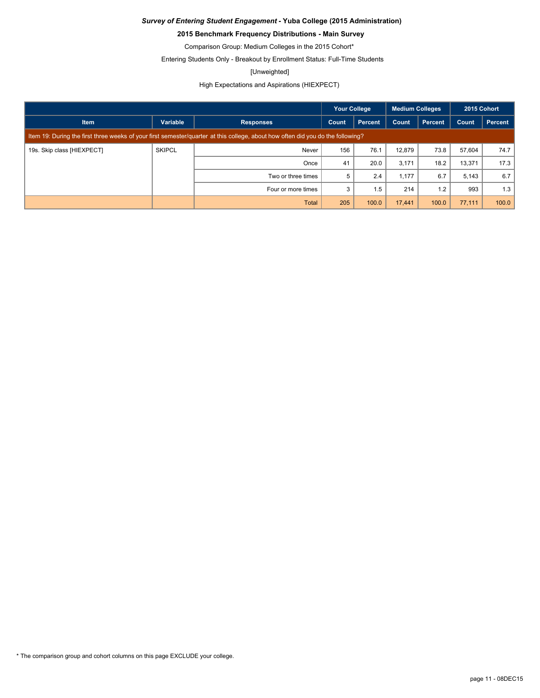### **2015 Benchmark Frequency Distributions - Main Survey**

Comparison Group: Medium Colleges in the 2015 Cohort\*

Entering Students Only - Breakout by Enrollment Status: Full-Time Students

#### [Unweighted]

High Expectations and Aspirations (HIEXPECT)

|                            |               |                                                                                                                                 | <b>Your College</b> |         | <b>Medium Colleges</b> |         | 2015 Cohort |         |
|----------------------------|---------------|---------------------------------------------------------------------------------------------------------------------------------|---------------------|---------|------------------------|---------|-------------|---------|
| <b>Item</b>                | Variable      | <b>Responses</b>                                                                                                                | Count               | Percent | Count                  | Percent | Count       | Percent |
|                            |               | Item 19: During the first three weeks of your first semester/quarter at this college, about how often did you do the following? |                     |         |                        |         |             |         |
| 19s. Skip class [HIEXPECT] | <b>SKIPCL</b> | Never                                                                                                                           | 156                 | 76.1    | 12,879                 | 73.8    | 57,604      | 74.7    |
|                            |               | Once                                                                                                                            | 41                  | 20.0    | 3,171                  | 18.2    | 13,371      | 17.3    |
|                            |               | Two or three times                                                                                                              | 5                   | 2.4     | 1,177                  | 6.7     | 5,143       | 6.7     |
|                            |               | Four or more times                                                                                                              | 3                   | 1.5     | 214                    | 1.2     | 993         | 1.3     |
|                            |               | <b>Total</b>                                                                                                                    | 205                 | 100.0   | 17,441                 | 100.0   | 77,111      | 100.0   |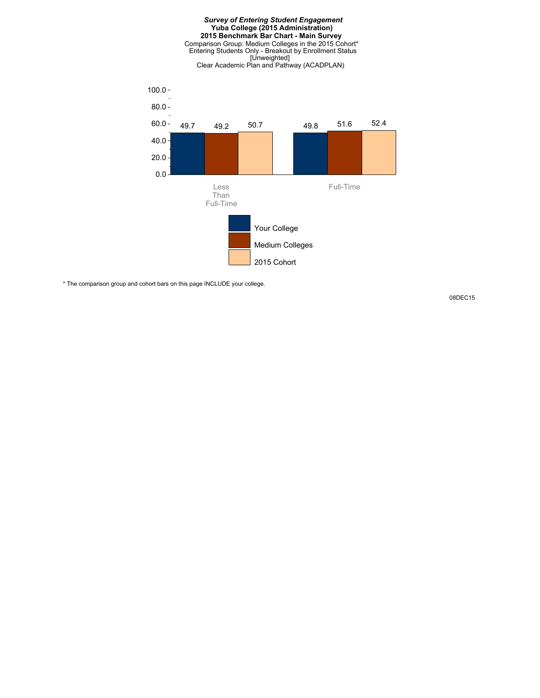#### *Survey of Entering Student Engagement* **Yuba College (2015 Administration) 2015 Benchmark Bar Chart - Main Survey** Comparison Group: Medium Colleges in the 2015 Cohort\* Entering Students Only - Breakout by Enrollment Status [Unweighted] Clear Academic Plan and Pathway (ACADPLAN)



\* The comparison group and cohort bars on this page INCLUDE your college.

08DEC15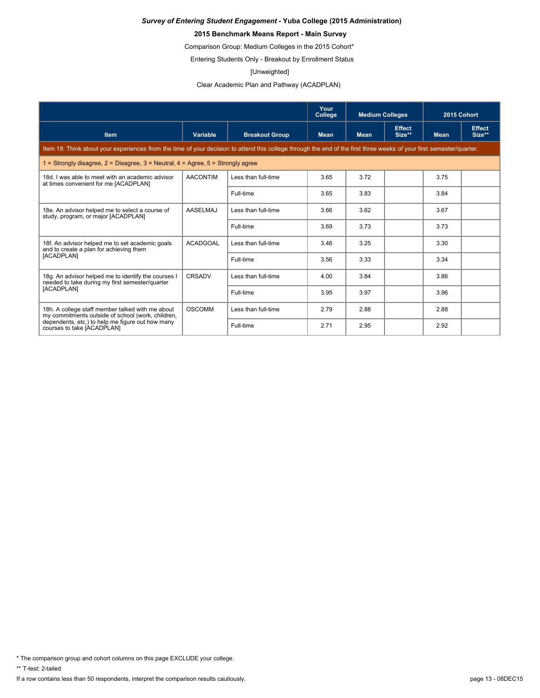### **2015 Benchmark Means Report - Main Survey**

Comparison Group: Medium Colleges in the 2015 Cohort\*

Entering Students Only - Breakout by Enrollment Status

#### [Unweighted]

Clear Academic Plan and Pathway (ACADPLAN)

|                                                                                                                                                                      |                 |                       | Your<br>College | <b>Medium Colleges</b> |                         | 2015 Cohort |                         |
|----------------------------------------------------------------------------------------------------------------------------------------------------------------------|-----------------|-----------------------|-----------------|------------------------|-------------------------|-------------|-------------------------|
| <b>Item</b>                                                                                                                                                          | Variable        | <b>Breakout Group</b> | <b>Mean</b>     | <b>Mean</b>            | <b>Effect</b><br>Size** | <b>Mean</b> | <b>Effect</b><br>Size** |
| Item 18: Think about your experiences from the time of your decision to attend this college through the end of the first three weeks of your first semester/quarter. |                 |                       |                 |                        |                         |             |                         |
| 1 = Strongly disagree, $2$ = Disagree, $3$ = Neutral, $4$ = Agree, $5$ = Strongly agree                                                                              |                 |                       |                 |                        |                         |             |                         |
| 18d. I was able to meet with an academic advisor<br>at times convenient for me [ACADPLAN]                                                                            | <b>AACONTIM</b> | Less than full-time   | 3.65            | 3.72                   |                         | 3.75        |                         |
|                                                                                                                                                                      |                 | Full-time             | 3.65            | 3.83                   |                         | 3.84        |                         |
| 18e. An advisor helped me to select a course of<br>study, program, or major [ACADPLAN]                                                                               | <b>AASELMAJ</b> | Less than full-time   | 3.66            | 3.62                   |                         | 3.67        |                         |
|                                                                                                                                                                      |                 | Full-time             | 3.69            | 3.73                   |                         | 3.73        |                         |
| 18f. An advisor helped me to set academic goals<br>and to create a plan for achieving them                                                                           | <b>ACADGOAL</b> | Less than full-time   | 3.46            | 3.25                   |                         | 3.30        |                         |
| [ACADPLAN]                                                                                                                                                           |                 | Full-time             | 3.56            | 3.33                   |                         | 3.34        |                         |
| 18q. An advisor helped me to identify the courses I<br>needed to take during my first semester/quarter                                                               | CRSADV          | Less than full-time   | 4.00            | 3.84                   |                         | 3.86        |                         |
| [ACADPLAN]                                                                                                                                                           |                 | Full-time             | 3.95            | 3.97                   |                         | 3.96        |                         |
| 18h. A college staff member talked with me about<br>my commitments outside of school (work, children,                                                                | <b>OSCOMM</b>   | Less than full-time   | 2.79            | 2.88                   |                         | 2.88        |                         |
| dependents, etc.) to help me figure out how many<br>courses to take [ACADPLAN]                                                                                       |                 | Full-time             | 2.71            | 2.95                   |                         | 2.92        |                         |

\* The comparison group and cohort columns on this page EXCLUDE your college.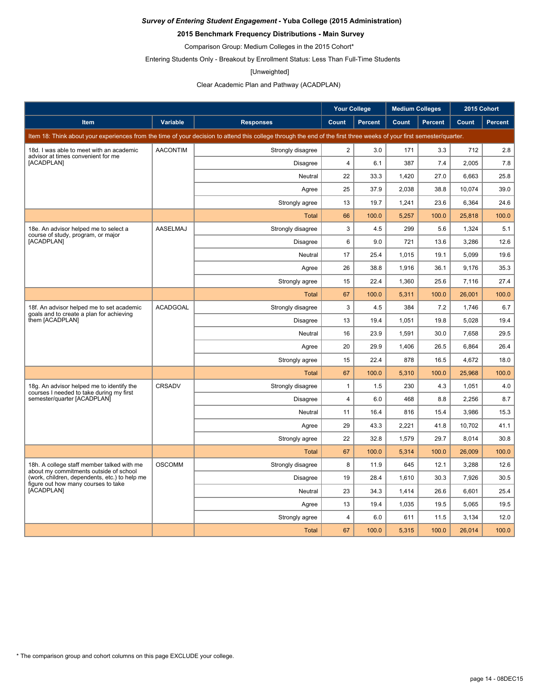### **2015 Benchmark Frequency Distributions - Main Survey**

Comparison Group: Medium Colleges in the 2015 Cohort\*

Entering Students Only - Breakout by Enrollment Status: Less Than Full-Time Students

#### [Unweighted]

### Clear Academic Plan and Pathway (ACADPLAN)

|                                                                                       |                 |                                                                                                                                                                      | <b>Your College</b> |                | <b>Medium Colleges</b> |                | 2015 Cohort |         |
|---------------------------------------------------------------------------------------|-----------------|----------------------------------------------------------------------------------------------------------------------------------------------------------------------|---------------------|----------------|------------------------|----------------|-------------|---------|
| <b>Item</b>                                                                           | <b>Variable</b> | <b>Responses</b>                                                                                                                                                     | Count               | <b>Percent</b> | Count                  | <b>Percent</b> | Count       | Percent |
|                                                                                       |                 | Item 18: Think about your experiences from the time of your decision to attend this college through the end of the first three weeks of your first semester/quarter. |                     |                |                        |                |             |         |
| 18d. I was able to meet with an academic<br>advisor at times convenient for me        | <b>AACONTIM</b> | Strongly disagree                                                                                                                                                    | $\overline{2}$      | 3.0            | 171                    | 3.3            | 712         | 2.8     |
| [ACADPLAN]                                                                            |                 | <b>Disagree</b>                                                                                                                                                      | $\overline{4}$      | 6.1            | 387                    | 7.4            | 2,005       | 7.8     |
|                                                                                       |                 | Neutral                                                                                                                                                              | 22                  | 33.3           | 1,420                  | 27.0           | 6,663       | 25.8    |
|                                                                                       |                 | Agree                                                                                                                                                                | 25                  | 37.9           | 2,038                  | 38.8           | 10,074      | 39.0    |
|                                                                                       |                 | Strongly agree                                                                                                                                                       | 13                  | 19.7           | 1,241                  | 23.6           | 6,364       | 24.6    |
|                                                                                       |                 | <b>Total</b>                                                                                                                                                         | 66                  | 100.0          | 5,257                  | 100.0          | 25,818      | 100.0   |
| 18e. An advisor helped me to select a<br>course of study, program, or major           | AASELMAJ        | Strongly disagree                                                                                                                                                    | 3                   | 4.5            | 299                    | 5.6            | 1,324       | 5.1     |
| [ACADPLAN]                                                                            |                 | <b>Disagree</b>                                                                                                                                                      | 6                   | 9.0            | 721                    | 13.6           | 3,286       | 12.6    |
|                                                                                       |                 | Neutral                                                                                                                                                              | 17                  | 25.4           | 1,015                  | 19.1           | 5,099       | 19.6    |
|                                                                                       |                 | Agree                                                                                                                                                                | 26                  | 38.8           | 1,916                  | 36.1           | 9.176       | 35.3    |
|                                                                                       |                 | Strongly agree                                                                                                                                                       | 15                  | 22.4           | 1,360                  | 25.6           | 7,116       | 27.4    |
|                                                                                       |                 | <b>Total</b>                                                                                                                                                         | 67                  | 100.0          | 5,311                  | 100.0          | 26,001      | 100.0   |
| 18f. An advisor helped me to set academic<br>goals and to create a plan for achieving | <b>ACADGOAL</b> | Strongly disagree                                                                                                                                                    | 3                   | 4.5            | 384                    | 7.2            | 1,746       | 6.7     |
| them [ACADPLAN]                                                                       |                 | <b>Disagree</b>                                                                                                                                                      | 13                  | 19.4           | 1,051                  | 19.8           | 5,028       | 19.4    |
|                                                                                       |                 | Neutral                                                                                                                                                              | 16                  | 23.9           | 1.591                  | 30.0           | 7.658       | 29.5    |
|                                                                                       |                 | Agree                                                                                                                                                                | 20                  | 29.9           | 1,406                  | 26.5           | 6,864       | 26.4    |
|                                                                                       |                 | Strongly agree                                                                                                                                                       | 15                  | 22.4           | 878                    | 16.5           | 4,672       | 18.0    |
|                                                                                       |                 | <b>Total</b>                                                                                                                                                         | 67                  | 100.0          | 5,310                  | 100.0          | 25,968      | 100.0   |
| 18g. An advisor helped me to identify the<br>courses I needed to take during my first | CRSADV          | Strongly disagree                                                                                                                                                    | $\mathbf{1}$        | 1.5            | 230                    | 4.3            | 1,051       | 4.0     |
| semester/quarter [ACADPLAN]                                                           |                 | <b>Disagree</b>                                                                                                                                                      | $\overline{4}$      | 6.0            | 468                    | 8.8            | 2,256       | 8.7     |
|                                                                                       |                 | Neutral                                                                                                                                                              | 11                  | 16.4           | 816                    | 15.4           | 3,986       | 15.3    |
|                                                                                       |                 | Agree                                                                                                                                                                | 29                  | 43.3           | 2,221                  | 41.8           | 10,702      | 41.1    |
|                                                                                       |                 | Strongly agree                                                                                                                                                       | 22                  | 32.8           | 1,579                  | 29.7           | 8,014       | 30.8    |
|                                                                                       |                 | <b>Total</b>                                                                                                                                                         | 67                  | 100.0          | 5,314                  | 100.0          | 26,009      | 100.0   |
| 18h. A college staff member talked with me<br>about my commitments outside of school  | <b>OSCOMM</b>   | Strongly disagree                                                                                                                                                    | 8                   | 11.9           | 645                    | 12.1           | 3,288       | 12.6    |
| (work, children, dependents, etc.) to help me<br>figure out how many courses to take  |                 | <b>Disagree</b>                                                                                                                                                      | 19                  | 28.4           | 1.610                  | 30.3           | 7.926       | 30.5    |
| [ACADPLAN]                                                                            |                 | Neutral                                                                                                                                                              | 23                  | 34.3           | 1,414                  | 26.6           | 6,601       | 25.4    |
|                                                                                       |                 | Agree                                                                                                                                                                | 13                  | 19.4           | 1,035                  | 19.5           | 5,065       | 19.5    |
|                                                                                       |                 | Strongly agree                                                                                                                                                       | $\overline{4}$      | 6.0            | 611                    | 11.5           | 3,134       | 12.0    |
|                                                                                       |                 | <b>Total</b>                                                                                                                                                         | 67                  | 100.0          | 5.315                  | 100.0          | 26.014      | 100.0   |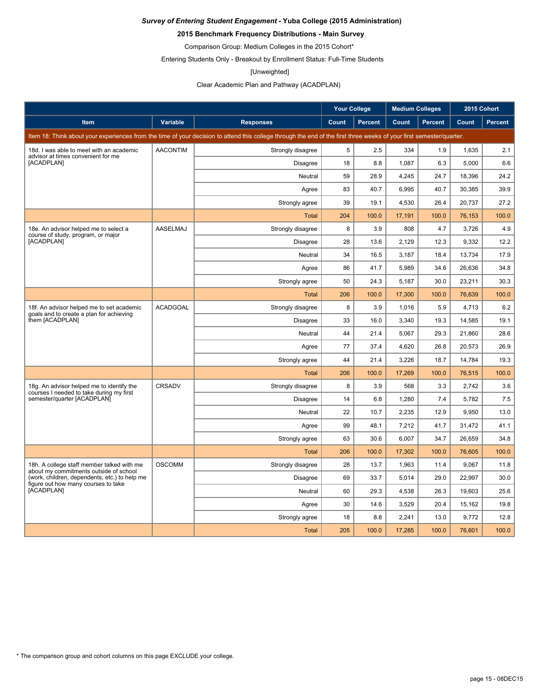### **2015 Benchmark Frequency Distributions - Main Survey**

Comparison Group: Medium Colleges in the 2015 Cohort\*

Entering Students Only - Breakout by Enrollment Status: Full-Time Students

#### [Unweighted]

Clear Academic Plan and Pathway (ACADPLAN)

|                                                                                      |                 |                                                                                                                                                                      | <b>Your College</b> |                | <b>Medium Colleges</b> |                | 2015 Cohort |         |
|--------------------------------------------------------------------------------------|-----------------|----------------------------------------------------------------------------------------------------------------------------------------------------------------------|---------------------|----------------|------------------------|----------------|-------------|---------|
| <b>Item</b>                                                                          | <b>Variable</b> | <b>Responses</b>                                                                                                                                                     | Count               | <b>Percent</b> | Count                  | <b>Percent</b> | Count       | Percent |
|                                                                                      |                 | Item 18: Think about your experiences from the time of your decision to attend this college through the end of the first three weeks of your first semester/quarter. |                     |                |                        |                |             |         |
| 18d. I was able to meet with an academic                                             | <b>AACONTIM</b> | Strongly disagree                                                                                                                                                    | 5                   | 2.5            | 334                    | 1.9            | 1,635       | 2.1     |
| advisor at times convenient for me<br>[ACADPLAN]                                     |                 | <b>Disagree</b>                                                                                                                                                      | 18                  | 8.8            | 1,087                  | 6.3            | 5,000       | 6.6     |
|                                                                                      |                 | Neutral                                                                                                                                                              | 59                  | 28.9           | 4,245                  | 24.7           | 18,396      | 24.2    |
|                                                                                      |                 | Agree                                                                                                                                                                | 83                  | 40.7           | 6,995                  | 40.7           | 30,385      | 39.9    |
|                                                                                      |                 | Strongly agree                                                                                                                                                       | 39                  | 19.1           | 4,530                  | 26.4           | 20,737      | 27.2    |
|                                                                                      |                 | <b>Total</b>                                                                                                                                                         | 204                 | 100.0          | 17,191                 | 100.0          | 76,153      | 100.0   |
| 18e. An advisor helped me to select a                                                | <b>AASELMAJ</b> | Strongly disagree                                                                                                                                                    | 8                   | 3.9            | 808                    | 4.7            | 3,726       | 4.9     |
| course of study, program, or major<br>[ACADPLAN]                                     |                 | <b>Disagree</b>                                                                                                                                                      | 28                  | 13.6           | 2,129                  | 12.3           | 9,332       | 12.2    |
|                                                                                      |                 | Neutral                                                                                                                                                              | 34                  | 16.5           | 3,187                  | 18.4           | 13,734      | 17.9    |
|                                                                                      |                 | Agree                                                                                                                                                                | 86                  | 41.7           | 5,989                  | 34.6           | 26.636      | 34.8    |
|                                                                                      |                 | Strongly agree                                                                                                                                                       | 50                  | 24.3           | 5,187                  | 30.0           | 23,211      | 30.3    |
|                                                                                      |                 | <b>Total</b>                                                                                                                                                         | 206                 | 100.0          | 17,300                 | 100.0          | 76,639      | 100.0   |
| 18f. An advisor helped me to set academic                                            | <b>ACADGOAL</b> | Strongly disagree                                                                                                                                                    | 8                   | 3.9            | 1,016                  | 5.9            | 4,713       | 6.2     |
| goals and to create a plan for achieving<br>them [ACADPLAN]                          |                 | <b>Disagree</b>                                                                                                                                                      | 33                  | 16.0           | 3,340                  | 19.3           | 14,585      | 19.1    |
|                                                                                      |                 | Neutral                                                                                                                                                              | 44                  | 21.4           | 5,067                  | 29.3           | 21,860      | 28.6    |
|                                                                                      |                 | Agree                                                                                                                                                                | 77                  | 37.4           | 4,620                  | 26.8           | 20,573      | 26.9    |
|                                                                                      |                 | Strongly agree                                                                                                                                                       | 44                  | 21.4           | 3,226                  | 18.7           | 14,784      | 19.3    |
|                                                                                      |                 | Total                                                                                                                                                                | 206                 | 100.0          | 17,269                 | 100.0          | 76,515      | 100.0   |
| 18g. An advisor helped me to identify the                                            | <b>CRSADV</b>   | Strongly disagree                                                                                                                                                    | 8                   | 3.9            | 568                    | 3.3            | 2.742       | 3.6     |
| courses I needed to take during my first<br>semester/quarter [ACADPLAN]              |                 | <b>Disagree</b>                                                                                                                                                      | 14                  | 6.8            | 1,280                  | 7.4            | 5,782       | 7.5     |
|                                                                                      |                 | Neutral                                                                                                                                                              | 22                  | 10.7           | 2,235                  | 12.9           | 9,950       | 13.0    |
|                                                                                      |                 | Agree                                                                                                                                                                | 99                  | 48.1           | 7,212                  | 41.7           | 31,472      | 41.1    |
|                                                                                      |                 | Strongly agree                                                                                                                                                       | 63                  | 30.6           | 6,007                  | 34.7           | 26,659      | 34.8    |
|                                                                                      |                 | <b>Total</b>                                                                                                                                                         | 206                 | 100.0          | 17,302                 | 100.0          | 76,605      | 100.0   |
| 18h. A college staff member talked with me<br>about my commitments outside of school | <b>OSCOMM</b>   | Strongly disagree                                                                                                                                                    | 28                  | 13.7           | 1,963                  | 11.4           | 9,067       | 11.8    |
| (work, children, dependents, etc.) to help me<br>figure out how many courses to take |                 | <b>Disagree</b>                                                                                                                                                      | 69                  | 33.7           | 5,014                  | 29.0           | 22,997      | 30.0    |
| [ACADPLAN]                                                                           |                 | Neutral                                                                                                                                                              | 60                  | 29.3           | 4,538                  | 26.3           | 19,603      | 25.6    |
|                                                                                      |                 | Agree                                                                                                                                                                | 30                  | 14.6           | 3,529                  | 20.4           | 15,162      | 19.8    |
|                                                                                      |                 | Strongly agree                                                                                                                                                       | 18                  | 8.8            | 2,241                  | 13.0           | 9,772       | 12.8    |
|                                                                                      |                 | Total                                                                                                                                                                | 205                 | 100.0          | 17,285                 | 100.0          | 76.601      | 100.0   |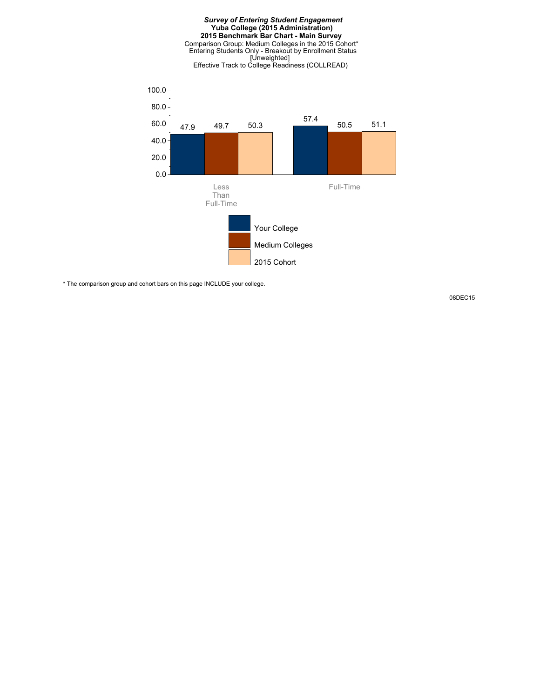



\* The comparison group and cohort bars on this page INCLUDE your college.

08DEC15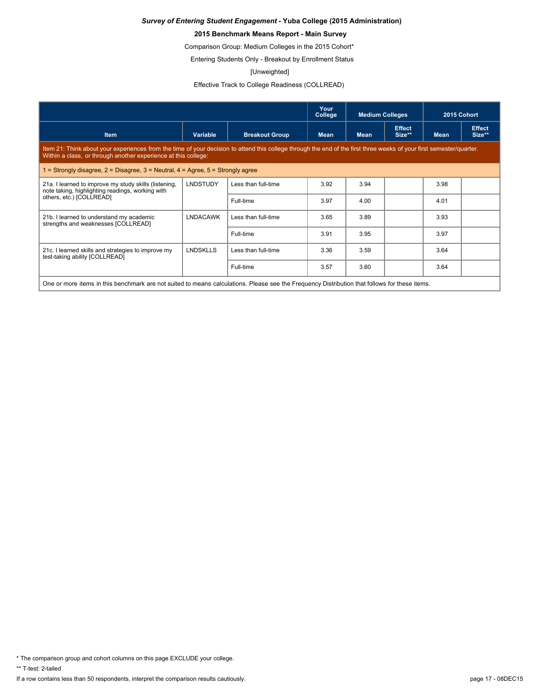### **2015 Benchmark Means Report - Main Survey**

Comparison Group: Medium Colleges in the 2015 Cohort\*

Entering Students Only - Breakout by Enrollment Status

#### [Unweighted]

Effective Track to College Readiness (COLLREAD)

|                                                                                                                                                                                                                                        |                 |                       | Your<br>College | <b>Medium Colleges</b> |                         | 2015 Cohort |                         |  |
|----------------------------------------------------------------------------------------------------------------------------------------------------------------------------------------------------------------------------------------|-----------------|-----------------------|-----------------|------------------------|-------------------------|-------------|-------------------------|--|
| <b>Item</b>                                                                                                                                                                                                                            | Variable        | <b>Breakout Group</b> | <b>Mean</b>     | <b>Mean</b>            | <b>Effect</b><br>Size** | <b>Mean</b> | <b>Effect</b><br>Size** |  |
| Item 21: Think about your experiences from the time of your decision to attend this college through the end of the first three weeks of your first semester/quarter.<br>Within a class, or through another experience at this college: |                 |                       |                 |                        |                         |             |                         |  |
| 1 = Strongly disagree, $2$ = Disagree, $3$ = Neutral, $4$ = Agree, $5$ = Strongly agree                                                                                                                                                |                 |                       |                 |                        |                         |             |                         |  |
| 21a. I learned to improve my study skills (listening,<br>note taking, highlighting readings, working with                                                                                                                              | <b>LNDSTUDY</b> | Less than full-time   | 3.92            | 3.94                   |                         | 3.98        |                         |  |
| others, etc.) [COLLREAD]                                                                                                                                                                                                               |                 | Full-time             | 3.97            | 4.00                   |                         | 4.01        |                         |  |
| 21b. I learned to understand my academic<br>strengths and weaknesses [COLLREAD]                                                                                                                                                        | <b>LNDACAWK</b> | Less than full-time   | 3.65            | 3.89                   |                         | 3.93        |                         |  |
|                                                                                                                                                                                                                                        |                 | Full-time             | 3.91            | 3.95                   |                         | 3.97        |                         |  |
| 21c. I learned skills and strategies to improve my<br>test-taking ability [COLLREAD]                                                                                                                                                   | <b>LNDSKLLS</b> | Less than full-time   | 3.36            | 3.59                   |                         | 3.64        |                         |  |
|                                                                                                                                                                                                                                        |                 | Full-time             | 3.57            | 3.60                   |                         | 3.64        |                         |  |
| One or more items in this benchmark are not suited to means calculations. Please see the Frequency Distribution that follows for these items.                                                                                          |                 |                       |                 |                        |                         |             |                         |  |

\* The comparison group and cohort columns on this page EXCLUDE your college.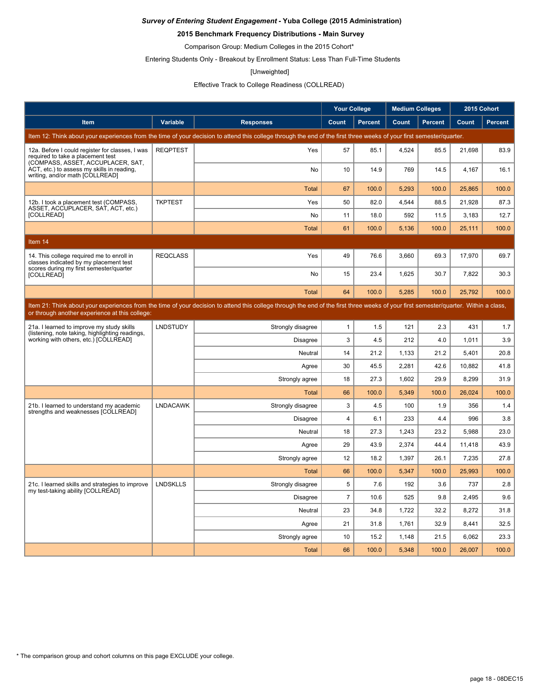### **2015 Benchmark Frequency Distributions - Main Survey**

Comparison Group: Medium Colleges in the 2015 Cohort\*

Entering Students Only - Breakout by Enrollment Status: Less Than Full-Time Students

#### [Unweighted]

### Effective Track to College Readiness (COLLREAD)

|                                                                                                                           |                 |                                                                                                                                                                                      | <b>Your College</b> |                | <b>Medium Colleges</b> |                | 2015 Cohort |         |
|---------------------------------------------------------------------------------------------------------------------------|-----------------|--------------------------------------------------------------------------------------------------------------------------------------------------------------------------------------|---------------------|----------------|------------------------|----------------|-------------|---------|
| <b>Item</b>                                                                                                               | <b>Variable</b> | <b>Responses</b>                                                                                                                                                                     | Count               | <b>Percent</b> | Count                  | <b>Percent</b> | Count       | Percent |
|                                                                                                                           |                 | Item 12: Think about your experiences from the time of your decision to attend this college through the end of the first three weeks of your first semester/quarter.                 |                     |                |                        |                |             |         |
| 12a. Before I could register for classes, I was<br>required to take a placement test<br>(COMPASS, ASSET, ACCUPLACER, SAT, | <b>REQPTEST</b> | Yes                                                                                                                                                                                  | 57                  | 85.1           | 4,524                  | 85.5           | 21,698      | 83.9    |
| ACT, etc.) to assess my skills in reading.<br>writing, and/or math [COLLREAD]                                             |                 | No                                                                                                                                                                                   | 10                  | 14.9           | 769                    | 14.5           | 4,167       | 16.1    |
|                                                                                                                           |                 | <b>Total</b>                                                                                                                                                                         | 67                  | 100.0          | 5,293                  | 100.0          | 25,865      | 100.0   |
| 12b. I took a placement test (COMPASS,<br>ASSET, ACCUPLACER, SAT, ACT, etc.)                                              | <b>TKPTEST</b>  | Yes                                                                                                                                                                                  | 50                  | 82.0           | 4,544                  | 88.5           | 21,928      | 87.3    |
| [COLLREAD]                                                                                                                |                 | No                                                                                                                                                                                   | 11                  | 18.0           | 592                    | 11.5           | 3,183       | 12.7    |
|                                                                                                                           |                 | <b>Total</b>                                                                                                                                                                         | 61                  | 100.0          | 5.136                  | 100.0          | 25.111      | 100.0   |
| Item 14                                                                                                                   |                 |                                                                                                                                                                                      |                     |                |                        |                |             |         |
| 14. This college required me to enroll in<br>classes indicated by my placement test                                       | <b>REQCLASS</b> | Yes                                                                                                                                                                                  | 49                  | 76.6           | 3,660                  | 69.3           | 17,970      | 69.7    |
| scores during my first semester/quarter<br><b>[COLLREAD]</b>                                                              |                 | No                                                                                                                                                                                   | 15                  | 23.4           | 1,625                  | 30.7           | 7,822       | 30.3    |
|                                                                                                                           |                 | <b>Total</b>                                                                                                                                                                         | 64                  | 100.0          | 5.285                  | 100.0          | 25.792      | 100.0   |
| or through another experience at this college:                                                                            |                 | Item 21: Think about your experiences from the time of your decision to attend this college through the end of the first three weeks of your first semester/quarter. Within a class, |                     |                |                        |                |             |         |
| 21a. I learned to improve my study skills<br>(listening, note taking, highlighting readings,                              | LNDSTUDY        | Strongly disagree                                                                                                                                                                    | $\mathbf{1}$        | 1.5            | 121                    | 2.3            | 431         | 1.7     |
| working with others, etc.) [COLLREAD]                                                                                     |                 | <b>Disagree</b>                                                                                                                                                                      | 3                   | 4.5            | 212                    | 4.0            | 1,011       | 3.9     |
|                                                                                                                           |                 | Neutral                                                                                                                                                                              | 14                  | 21.2           | 1,133                  | 21.2           | 5,401       | 20.8    |
|                                                                                                                           |                 | Agree                                                                                                                                                                                | 30                  | 45.5           | 2,281                  | 42.6           | 10,882      | 41.8    |
|                                                                                                                           |                 | Strongly agree                                                                                                                                                                       | 18                  | 27.3           | 1,602                  | 29.9           | 8,299       | 31.9    |
|                                                                                                                           |                 | <b>Total</b>                                                                                                                                                                         | 66                  | 100.0          | 5,349                  | 100.0          | 26,024      | 100.0   |
| 21b. I learned to understand my academic<br>strengths and weaknesses [COLLREAD]                                           | <b>LNDACAWK</b> | Strongly disagree                                                                                                                                                                    | 3                   | 4.5            | 100                    | 1.9            | 356         | 1.4     |
|                                                                                                                           |                 | <b>Disagree</b>                                                                                                                                                                      | $\overline{4}$      | 6.1            | 233                    | 4.4            | 996         | 3.8     |
|                                                                                                                           |                 | Neutral                                                                                                                                                                              | 18                  | 27.3           | 1,243                  | 23.2           | 5,988       | 23.0    |
|                                                                                                                           |                 | Agree                                                                                                                                                                                | 29                  | 43.9           | 2.374                  | 44.4           | 11,418      | 43.9    |
|                                                                                                                           |                 | Strongly agree                                                                                                                                                                       | 12                  | 18.2           | 1,397                  | 26.1           | 7,235       | 27.8    |
|                                                                                                                           |                 | <b>Total</b>                                                                                                                                                                         | 66                  | 100.0          | 5,347                  | 100.0          | 25.993      | 100.0   |
| 21c. I learned skills and strategies to improve<br>my test-taking ability [COLLREAD]                                      | <b>LNDSKLLS</b> | Strongly disagree                                                                                                                                                                    | 5                   | 7.6            | 192                    | 3.6            | 737         | 2.8     |
|                                                                                                                           |                 | <b>Disagree</b>                                                                                                                                                                      | $\overline{7}$      | 10.6           | 525                    | 9.8            | 2,495       | 9.6     |
|                                                                                                                           |                 | Neutral                                                                                                                                                                              | 23                  | 34.8           | 1,722                  | 32.2           | 8,272       | 31.8    |
|                                                                                                                           |                 | Agree                                                                                                                                                                                | 21                  | 31.8           | 1,761                  | 32.9           | 8,441       | 32.5    |
|                                                                                                                           |                 | Strongly agree                                                                                                                                                                       | 10                  | 15.2           | 1,148                  | 21.5           | 6,062       | 23.3    |
|                                                                                                                           |                 | <b>Total</b>                                                                                                                                                                         | 66                  | 100.0          | 5,348                  | 100.0          | 26.007      | 100.0   |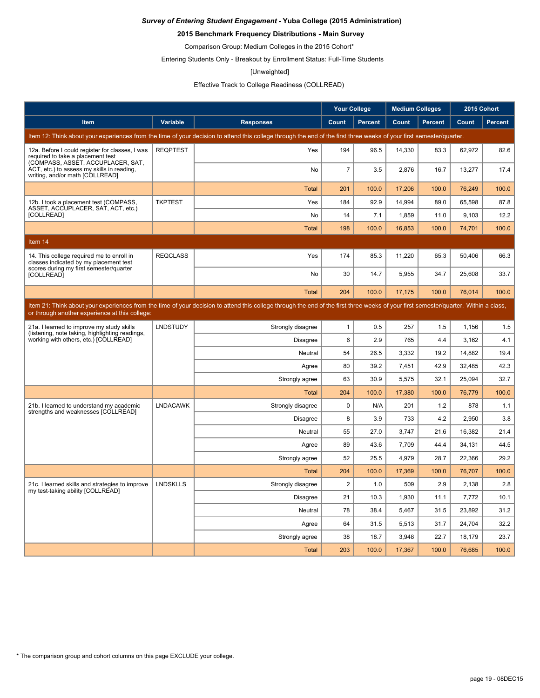### **2015 Benchmark Frequency Distributions - Main Survey**

Comparison Group: Medium Colleges in the 2015 Cohort\*

Entering Students Only - Breakout by Enrollment Status: Full-Time Students

#### [Unweighted]

### Effective Track to College Readiness (COLLREAD)

|                                                                                                                           |                 |                                                                                                                                                                                      | <b>Your College</b> |                | <b>Medium Colleges</b> |                | 2015 Cohort |                |
|---------------------------------------------------------------------------------------------------------------------------|-----------------|--------------------------------------------------------------------------------------------------------------------------------------------------------------------------------------|---------------------|----------------|------------------------|----------------|-------------|----------------|
| Item                                                                                                                      | Variable        | <b>Responses</b>                                                                                                                                                                     | Count               | <b>Percent</b> | Count                  | <b>Percent</b> | Count       | <b>Percent</b> |
|                                                                                                                           |                 | Item 12: Think about your experiences from the time of your decision to attend this college through the end of the first three weeks of your first semester/quarter.                 |                     |                |                        |                |             |                |
| 12a. Before I could register for classes, I was<br>required to take a placement test<br>(COMPASS, ASSET, ACCUPLACER, SAT, | <b>REQPTEST</b> | Yes                                                                                                                                                                                  | 194                 | 96.5           | 14,330                 | 83.3           | 62,972      | 82.6           |
| ACT, etc.) to assess my skills in reading,<br>writing, and/or math [COLLREAD]                                             |                 | <b>No</b>                                                                                                                                                                            | $\overline{7}$      | 3.5            | 2,876                  | 16.7           | 13,277      | 17.4           |
|                                                                                                                           |                 | <b>Total</b>                                                                                                                                                                         | 201                 | 100.0          | 17,206                 | 100.0          | 76,249      | 100.0          |
| 12b. I took a placement test (COMPASS,<br>ASSET, ACCUPLACER, SAT, ACT, etc.)                                              | <b>TKPTEST</b>  | Yes                                                                                                                                                                                  | 184                 | 92.9           | 14,994                 | 89.0           | 65,598      | 87.8           |
| [COLLREAD]                                                                                                                |                 | No                                                                                                                                                                                   | 14                  | 7.1            | 1,859                  | 11.0           | 9,103       | 12.2           |
|                                                                                                                           |                 | <b>Total</b>                                                                                                                                                                         | 198                 | 100.0          | 16,853                 | 100.0          | 74,701      | 100.0          |
| Item 14                                                                                                                   |                 |                                                                                                                                                                                      |                     |                |                        |                |             |                |
| 14. This college required me to enroll in<br>classes indicated by my placement test                                       | <b>REQCLASS</b> | Yes                                                                                                                                                                                  | 174                 | 85.3           | 11,220                 | 65.3           | 50,406      | 66.3           |
| scores during my first semester/quarter<br>[COLLREAD]                                                                     |                 | No                                                                                                                                                                                   | 30                  | 14.7           | 5,955                  | 34.7           | 25,608      | 33.7           |
|                                                                                                                           |                 | <b>Total</b>                                                                                                                                                                         | 204                 | 100.0          | 17,175                 | 100.0          | 76,014      | 100.0          |
| or through another experience at this college:                                                                            |                 | Item 21: Think about your experiences from the time of your decision to attend this college through the end of the first three weeks of your first semester/quarter. Within a class, |                     |                |                        |                |             |                |
| 21a. I learned to improve my study skills                                                                                 | <b>LNDSTUDY</b> | Strongly disagree                                                                                                                                                                    | $\mathbf{1}$        | 0.5            | 257                    | 1.5            | 1,156       | 1.5            |
| (listening, note taking, highlighting readings,<br>working with others, etc.) [COLLREAD]                                  |                 | <b>Disagree</b>                                                                                                                                                                      | 6                   | 2.9            | 765                    | 4.4            | 3,162       | 4.1            |
|                                                                                                                           |                 | Neutral                                                                                                                                                                              | 54                  | 26.5           | 3,332                  | 19.2           | 14,882      | 19.4           |
|                                                                                                                           |                 | Agree                                                                                                                                                                                | 80                  | 39.2           | 7,451                  | 42.9           | 32,485      | 42.3           |
|                                                                                                                           |                 | Strongly agree                                                                                                                                                                       | 63                  | 30.9           | 5,575                  | 32.1           | 25,094      | 32.7           |
|                                                                                                                           |                 | <b>Total</b>                                                                                                                                                                         | 204                 | 100.0          | 17,380                 | 100.0          | 76,779      | 100.0          |
| 21b. I learned to understand my academic<br>strengths and weaknesses [COLLREAD]                                           | <b>LNDACAWK</b> | Strongly disagree                                                                                                                                                                    | $\mathbf 0$         | N/A            | 201                    | 1.2            | 878         | 1.1            |
|                                                                                                                           |                 | <b>Disagree</b>                                                                                                                                                                      | 8                   | 3.9            | 733                    | 4.2            | 2,950       | 3.8            |
|                                                                                                                           |                 | Neutral                                                                                                                                                                              | 55                  | 27.0           | 3,747                  | 21.6           | 16,382      | 21.4           |
|                                                                                                                           |                 | Agree                                                                                                                                                                                | 89                  | 43.6           | 7.709                  | 44.4           | 34.131      | 44.5           |
|                                                                                                                           |                 | Strongly agree                                                                                                                                                                       | 52                  | 25.5           | 4,979                  | 28.7           | 22,366      | 29.2           |
|                                                                                                                           |                 | <b>Total</b>                                                                                                                                                                         | 204                 | 100.0          | 17,369                 | 100.0          | 76.707      | 100.0          |
| 21c. I learned skills and strategies to improve<br>my test-taking ability [COLLREAD]                                      | <b>LNDSKLLS</b> | Strongly disagree                                                                                                                                                                    | $\overline{2}$      | 1.0            | 509                    | 2.9            | 2,138       | 2.8            |
|                                                                                                                           |                 | <b>Disagree</b>                                                                                                                                                                      | 21                  | 10.3           | 1,930                  | 11.1           | 7,772       | 10.1           |
|                                                                                                                           |                 | Neutral                                                                                                                                                                              | 78                  | 38.4           | 5,467                  | 31.5           | 23,892      | 31.2           |
|                                                                                                                           |                 | Agree                                                                                                                                                                                | 64                  | 31.5           | 5,513                  | 31.7           | 24,704      | 32.2           |
|                                                                                                                           |                 | Strongly agree                                                                                                                                                                       | 38                  | 18.7           | 3,948                  | 22.7           | 18,179      | 23.7           |
|                                                                                                                           |                 | <b>Total</b>                                                                                                                                                                         | 203                 | 100.0          | 17.367                 | 100.0          | 76,685      | 100.0          |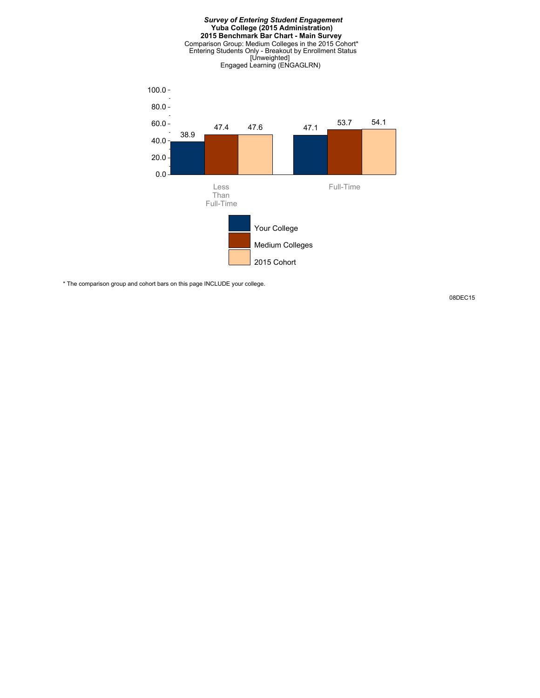

\* The comparison group and cohort bars on this page INCLUDE your college.

08DEC15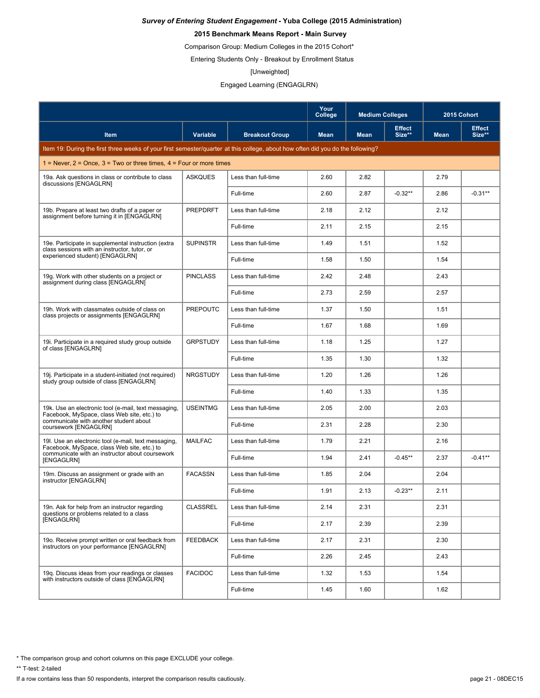### **2015 Benchmark Means Report - Main Survey**

Comparison Group: Medium Colleges in the 2015 Cohort\*

Entering Students Only - Breakout by Enrollment Status

#### [Unweighted]

Engaged Learning (ENGAGLRN)

|                                                                                                                                 |                 |                       | Your<br>College | <b>Medium Colleges</b> |                         | 2015 Cohort |                         |
|---------------------------------------------------------------------------------------------------------------------------------|-----------------|-----------------------|-----------------|------------------------|-------------------------|-------------|-------------------------|
| Item                                                                                                                            | <b>Variable</b> | <b>Breakout Group</b> | <b>Mean</b>     | <b>Mean</b>            | <b>Effect</b><br>Size** | <b>Mean</b> | <b>Effect</b><br>Size** |
| Item 19: During the first three weeks of your first semester/guarter at this college, about how often did you do the following? |                 |                       |                 |                        |                         |             |                         |
| 1 = Never, $2$ = Once, $3$ = Two or three times, $4$ = Four or more times                                                       |                 |                       |                 |                        |                         |             |                         |
| 19a. Ask questions in class or contribute to class<br>discussions [ENGAGLRN]                                                    | <b>ASKQUES</b>  | Less than full-time   | 2.60            | 2.82                   |                         | 2.79        |                         |
|                                                                                                                                 |                 | Full-time             | 2.60            | 2.87                   | $-0.32**$               | 2.86        | $-0.31**$               |
| 19b. Prepare at least two drafts of a paper or<br>assignment before turning it in [ENGAGLRN]                                    | PREPDRFT        | Less than full-time   | 2.18            | 2.12                   |                         | 2.12        |                         |
|                                                                                                                                 |                 | Full-time             | 2.11            | 2.15                   |                         | 2.15        |                         |
| 19e. Participate in supplemental instruction (extra<br>class sessions with an instructor, tutor, or                             | <b>SUPINSTR</b> | Less than full-time   | 1.49            | 1.51                   |                         | 1.52        |                         |
| experienced student) [ENGAGLRN]                                                                                                 |                 | Full-time             | 1.58            | 1.50                   |                         | 1.54        |                         |
| 19g. Work with other students on a project or<br>assignment during class [ENGAGLRN]                                             | <b>PINCLASS</b> | Less than full-time   | 2.42            | 2.48                   |                         | 2.43        |                         |
|                                                                                                                                 |                 | Full-time             | 2.73            | 2.59                   |                         | 2.57        |                         |
| 19h. Work with classmates outside of class on<br>class projects or assignments [ENGAGLRN]                                       | PREPOUTC        | Less than full-time   | 1.37            | 1.50                   |                         | 1.51        |                         |
|                                                                                                                                 |                 | Full-time             | 1.67            | 1.68                   |                         | 1.69        |                         |
| 19i. Participate in a required study group outside<br>of class [ENGAGLRN]                                                       | <b>GRPSTUDY</b> | Less than full-time   | 1.18            | 1.25                   |                         | 1.27        |                         |
|                                                                                                                                 |                 | Full-time             | 1.35            | 1.30                   |                         | 1.32        |                         |
| 19j. Participate in a student-initiated (not required)<br>study group outside of class [ENGAGLRN]                               | <b>NRGSTUDY</b> | Less than full-time   | 1.20            | 1.26                   |                         | 1.26        |                         |
|                                                                                                                                 |                 | Full-time             | 1.40            | 1.33                   |                         | 1.35        |                         |
| 19k. Use an electronic tool (e-mail, text messaging,<br>Facebook, MySpace, class Web site, etc.) to                             | <b>USEINTMG</b> | Less than full-time   | 2.05            | 2.00                   |                         | 2.03        |                         |
| communicate with another student about<br>coursework [ENGAGLRN]                                                                 |                 | Full-time             | 2.31            | 2.28                   |                         | 2.30        |                         |
| 19I. Use an electronic tool (e-mail, text messaging,<br>Facebook, MySpace, class Web site, etc.) to                             | <b>MAILFAC</b>  | Less than full-time   | 1.79            | 2.21                   |                         | 2.16        |                         |
| communicate with an instructor about coursework<br><b>IENGAGLRNI</b>                                                            |                 | Full-time             | 1.94            | 2.41                   | $-0.45**$               | 2.37        | $-0.41**$               |
| 19m. Discuss an assignment or grade with an<br>instructor [ENGAGLRN]                                                            | <b>FACASSN</b>  | Less than full-time   | 1.85            | 2.04                   |                         | 2.04        |                         |
|                                                                                                                                 |                 | Full-time             | 1.91            | 2.13                   | $-0.23**$               | 2.11        |                         |
| 19n. Ask for help from an instructor regarding<br>questions or problems related to a class                                      | <b>CLASSREL</b> | Less than full-time   | 2.14            | 2.31                   |                         | 2.31        |                         |
| [ENGAGLRN]                                                                                                                      |                 | Full-time             | 2.17            | 2.39                   |                         | 2.39        |                         |
| 19o. Receive prompt written or oral feedback from<br>instructors on your performance [ENGAGLRN]                                 | <b>FEEDBACK</b> | Less than full-time   | 2.17            | 2.31                   |                         | 2.30        |                         |
|                                                                                                                                 |                 | Full-time             | 2.26            | 2.45                   |                         | 2.43        |                         |
| 19q. Discuss ideas from your readings or classes<br>with instructors outside of class IENGAGLRNI                                | <b>FACIDOC</b>  | Less than full-time   | 1.32            | 1.53                   |                         | 1.54        |                         |
|                                                                                                                                 |                 | Full-time             | 1.45            | 1.60                   |                         | 1.62        |                         |

\* The comparison group and cohort columns on this page EXCLUDE your college.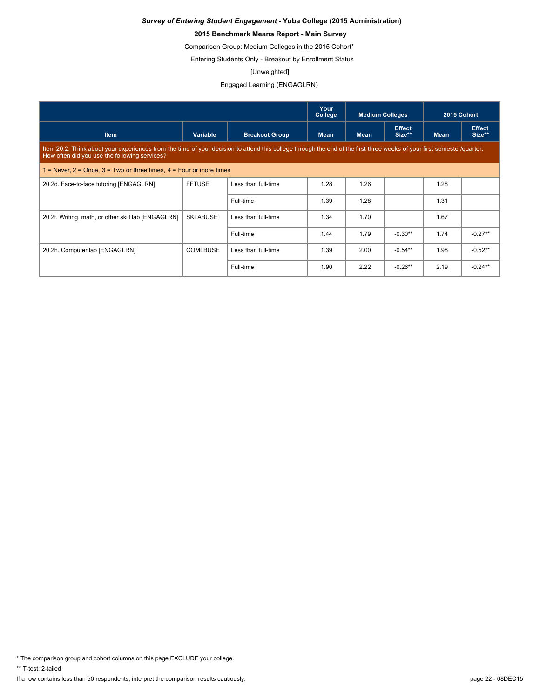### **2015 Benchmark Means Report - Main Survey**

Comparison Group: Medium Colleges in the 2015 Cohort\*

Entering Students Only - Breakout by Enrollment Status

#### [Unweighted]

Engaged Learning (ENGAGLRN)

|                                                                           |                                                                                                                                                                        |                       | Your<br>College | <b>Medium Colleges</b> |                         | 2015 Cohort |                         |  |  |
|---------------------------------------------------------------------------|------------------------------------------------------------------------------------------------------------------------------------------------------------------------|-----------------------|-----------------|------------------------|-------------------------|-------------|-------------------------|--|--|
| <b>Item</b>                                                               | Variable                                                                                                                                                               | <b>Breakout Group</b> | <b>Mean</b>     | <b>Mean</b>            | <b>Effect</b><br>Size** | <b>Mean</b> | <b>Effect</b><br>Size** |  |  |
| How often did you use the following services?                             | Item 20.2: Think about your experiences from the time of your decision to attend this college through the end of the first three weeks of your first semester/quarter. |                       |                 |                        |                         |             |                         |  |  |
| 1 = Never, $2$ = Once, $3$ = Two or three times, $4$ = Four or more times |                                                                                                                                                                        |                       |                 |                        |                         |             |                         |  |  |
| 20.2d. Face-to-face tutoring [ENGAGLRN]                                   | <b>FFTUSE</b>                                                                                                                                                          | Less than full-time   | 1.28            | 1.26                   |                         | 1.28        |                         |  |  |
|                                                                           |                                                                                                                                                                        | Full-time             | 1.39            | 1.28                   |                         | 1.31        |                         |  |  |
| 20.2f. Writing, math, or other skill lab [ENGAGLRN]                       | <b>SKLABUSE</b>                                                                                                                                                        | Less than full-time   | 1.34            | 1.70                   |                         | 1.67        |                         |  |  |
|                                                                           |                                                                                                                                                                        | Full-time             | 1.44            | 1.79                   | $-0.30**$               | 1.74        | $-0.27**$               |  |  |
| 20.2h. Computer lab [ENGAGLRN]                                            | <b>COMLBUSE</b>                                                                                                                                                        | Less than full-time   | 1.39            | 2.00                   | $-0.54**$               | 1.98        | $-0.52**$               |  |  |
|                                                                           |                                                                                                                                                                        | Full-time             | 1.90            | 2.22                   | $-0.26**$               | 2.19        | $-0.24**$               |  |  |

\* The comparison group and cohort columns on this page EXCLUDE your college.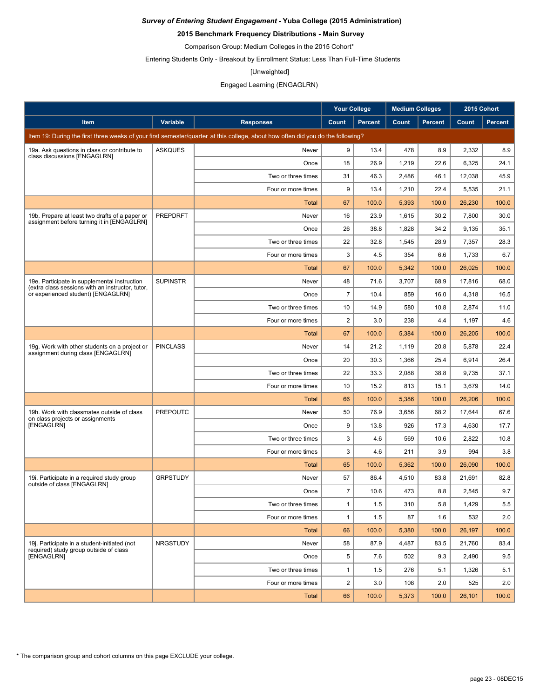### **2015 Benchmark Frequency Distributions - Main Survey**

Comparison Group: Medium Colleges in the 2015 Cohort\*

Entering Students Only - Breakout by Enrollment Status: Less Than Full-Time Students

#### [Unweighted]

### Engaged Learning (ENGAGLRN)

|                                                                                                  |                 |                                                                                                                                 | <b>Your College</b> |                | <b>Medium Colleges</b> |                | 2015 Cohort |                |
|--------------------------------------------------------------------------------------------------|-----------------|---------------------------------------------------------------------------------------------------------------------------------|---------------------|----------------|------------------------|----------------|-------------|----------------|
| Item                                                                                             | <b>Variable</b> | <b>Responses</b>                                                                                                                | Count               | <b>Percent</b> | Count                  | <b>Percent</b> | Count       | <b>Percent</b> |
|                                                                                                  |                 | Item 19: During the first three weeks of your first semester/quarter at this college, about how often did you do the following? |                     |                |                        |                |             |                |
| 19a. Ask questions in class or contribute to                                                     | <b>ASKQUES</b>  | Never                                                                                                                           | 9                   | 13.4           | 478                    | 8.9            | 2,332       | 8.9            |
| class discussions [ENGAGLRN]                                                                     |                 | Once                                                                                                                            | 18                  | 26.9           | 1,219                  | 22.6           | 6,325       | 24.1           |
|                                                                                                  |                 | Two or three times                                                                                                              | 31                  | 46.3           | 2,486                  | 46.1           | 12,038      | 45.9           |
|                                                                                                  |                 | Four or more times                                                                                                              | 9                   | 13.4           | 1,210                  | 22.4           | 5,535       | 21.1           |
|                                                                                                  |                 | Total                                                                                                                           | 67                  | 100.0          | 5,393                  | 100.0          | 26,230      | 100.0          |
| 19b. Prepare at least two drafts of a paper or<br>assignment before turning it in [ENGAGLRN]     | <b>PREPDRFT</b> | Never                                                                                                                           | 16                  | 23.9           | 1,615                  | 30.2           | 7,800       | 30.0           |
|                                                                                                  |                 | Once                                                                                                                            | 26                  | 38.8           | 1,828                  | 34.2           | 9,135       | 35.1           |
|                                                                                                  |                 | Two or three times                                                                                                              | 22                  | 32.8           | 1,545                  | 28.9           | 7,357       | 28.3           |
|                                                                                                  |                 | Four or more times                                                                                                              | 3                   | 4.5            | 354                    | 6.6            | 1,733       | 6.7            |
|                                                                                                  |                 | Total                                                                                                                           | 67                  | 100.0          | 5,342                  | 100.0          | 26,025      | 100.0          |
| 19e. Participate in supplemental instruction<br>(extra class sessions with an instructor, tutor, | <b>SUPINSTR</b> | Never                                                                                                                           | 48                  | 71.6           | 3,707                  | 68.9           | 17,816      | 68.0           |
| or experienced student) [ENGAGLRN]                                                               |                 | Once                                                                                                                            | $\overline{7}$      | 10.4           | 859                    | 16.0           | 4,318       | 16.5           |
|                                                                                                  |                 | Two or three times                                                                                                              | 10                  | 14.9           | 580                    | 10.8           | 2,874       | 11.0           |
|                                                                                                  |                 | Four or more times                                                                                                              | $\overline{2}$      | 3.0            | 238                    | 4.4            | 1,197       | 4.6            |
|                                                                                                  |                 | Total                                                                                                                           | 67                  | 100.0          | 5,384                  | 100.0          | 26,205      | 100.0          |
| 19g. Work with other students on a project or<br>assignment during class [ENGAGLRN]              | <b>PINCLASS</b> | Never                                                                                                                           | 14                  | 21.2           | 1,119                  | 20.8           | 5,878       | 22.4           |
|                                                                                                  |                 | Once                                                                                                                            | 20                  | 30.3           | 1,366                  | 25.4           | 6,914       | 26.4           |
|                                                                                                  |                 | Two or three times                                                                                                              | 22                  | 33.3           | 2,088                  | 38.8           | 9,735       | 37.1           |
|                                                                                                  |                 | Four or more times                                                                                                              | 10                  | 15.2           | 813                    | 15.1           | 3,679       | 14.0           |
|                                                                                                  |                 | Total                                                                                                                           | 66                  | 100.0          | 5,386                  | 100.0          | 26,206      | 100.0          |
| 19h. Work with classmates outside of class<br>on class projects or assignments                   | <b>PREPOUTC</b> | Never                                                                                                                           | 50                  | 76.9           | 3,656                  | 68.2           | 17,644      | 67.6           |
| [ENGAGLRN]                                                                                       |                 | Once                                                                                                                            | 9                   | 13.8           | 926                    | 17.3           | 4,630       | 17.7           |
|                                                                                                  |                 | Two or three times                                                                                                              | 3                   | 4.6            | 569                    | 10.6           | 2,822       | 10.8           |
|                                                                                                  |                 | Four or more times                                                                                                              | 3                   | 4.6            | 211                    | 3.9            | 994         | 3.8            |
|                                                                                                  |                 | Total                                                                                                                           | 65                  | 100.0          | 5,362                  | 100.0          | 26,090      | 100.0          |
| 19. Participate in a required study group<br>outside of class [ENGAGLRN]                         | <b>GRPSTUDY</b> | Never                                                                                                                           | 57                  | 86.4           | 4,510                  | 83.8           | 21,691      | 82.8           |
|                                                                                                  |                 | Once                                                                                                                            | $\overline{7}$      | 10.6           | 473                    | 8.8            | 2,545       | 9.7            |
|                                                                                                  |                 | Two or three times                                                                                                              | $\mathbf{1}$        | 1.5            | 310                    | 5.8            | 1,429       | 5.5            |
|                                                                                                  |                 | Four or more times                                                                                                              | $\mathbf{1}$        | 1.5            | 87                     | 1.6            | 532         | 2.0            |
|                                                                                                  |                 | <b>Total</b>                                                                                                                    | 66                  | 100.0          | 5,380                  | 100.0          | 26,197      | 100.0          |
| 19j. Participate in a student-initiated (not<br>required) study group outside of class           | <b>NRGSTUDY</b> | Never                                                                                                                           | 58                  | 87.9           | 4,487                  | 83.5           | 21.760      | 83.4           |
| [ENGAGLRN]                                                                                       |                 | Once                                                                                                                            | 5                   | 7.6            | 502                    | 9.3            | 2,490       | 9.5            |
|                                                                                                  |                 | Two or three times                                                                                                              | $\mathbf{1}$        | 1.5            | 276                    | 5.1            | 1,326       | 5.1            |
|                                                                                                  |                 | Four or more times                                                                                                              | $\overline{2}$      | 3.0            | 108                    | 2.0            | 525         | 2.0            |
|                                                                                                  |                 | Total                                                                                                                           | 66                  | 100.0          | 5,373                  | 100.0          | 26,101      | 100.0          |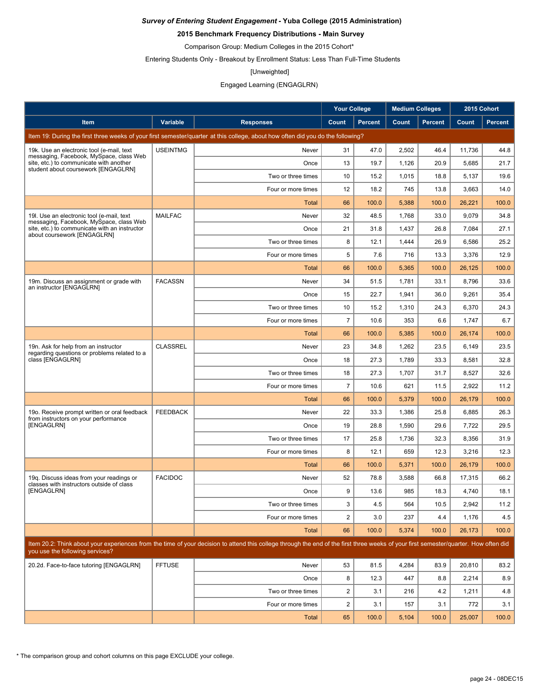### **2015 Benchmark Frequency Distributions - Main Survey**

Comparison Group: Medium Colleges in the 2015 Cohort\*

Entering Students Only - Breakout by Enrollment Status: Less Than Full-Time Students

#### [Unweighted]

### Engaged Learning (ENGAGLRN)

|                                                                                          |                 |                                                                                                                                                                                      | <b>Your College</b>     |                | <b>Medium Colleges</b> |                | 2015 Cohort |                |
|------------------------------------------------------------------------------------------|-----------------|--------------------------------------------------------------------------------------------------------------------------------------------------------------------------------------|-------------------------|----------------|------------------------|----------------|-------------|----------------|
| <b>Item</b>                                                                              | Variable        | <b>Responses</b>                                                                                                                                                                     | Count                   | <b>Percent</b> | Count                  | <b>Percent</b> | Count       | <b>Percent</b> |
|                                                                                          |                 | Item 19: During the first three weeks of your first semester/quarter at this college, about how often did you do the following?                                                      |                         |                |                        |                |             |                |
| 19k. Use an electronic tool (e-mail, text                                                | <b>USEINTMG</b> | Never                                                                                                                                                                                | 31                      | 47.0           | 2,502                  | 46.4           | 11,736      | 44.8           |
| messaging, Facebook, MySpace, class Web<br>site, etc.) to communicate with another       |                 | Once                                                                                                                                                                                 | 13                      | 19.7           | 1,126                  | 20.9           | 5,685       | 21.7           |
| student about coursework [ENGAGLRN]                                                      |                 | Two or three times                                                                                                                                                                   | 10                      | 15.2           | 1,015                  | 18.8           | 5,137       | 19.6           |
|                                                                                          |                 | Four or more times                                                                                                                                                                   | 12                      | 18.2           | 745                    | 13.8           | 3,663       | 14.0           |
|                                                                                          |                 | Total                                                                                                                                                                                | 66                      | 100.0          | 5,388                  | 100.0          | 26,221      | 100.0          |
| 19. Use an electronic tool (e-mail, text                                                 | <b>MAILFAC</b>  | Never                                                                                                                                                                                | 32                      | 48.5           | 1,768                  | 33.0           | 9,079       | 34.8           |
| messaging, Facebook, MySpace, class Web<br>site, etc.) to communicate with an instructor |                 | Once                                                                                                                                                                                 | 21                      | 31.8           | 1,437                  | 26.8           | 7,084       | 27.1           |
| about coursework [ENGAGLRN]                                                              |                 | Two or three times                                                                                                                                                                   | 8                       | 12.1           | 1,444                  | 26.9           | 6,586       | 25.2           |
|                                                                                          |                 | Four or more times                                                                                                                                                                   | 5                       | 7.6            | 716                    | 13.3           | 3,376       | 12.9           |
|                                                                                          |                 | <b>Total</b>                                                                                                                                                                         | 66                      | 100.0          | 5,365                  | 100.0          | 26,125      | 100.0          |
| 19m. Discuss an assignment or grade with                                                 | <b>FACASSN</b>  | Never                                                                                                                                                                                | 34                      | 51.5           | 1,781                  | 33.1           | 8,796       | 33.6           |
| an instructor [ENGAGLRN]                                                                 |                 | Once                                                                                                                                                                                 | 15                      | 22.7           | 1,941                  | 36.0           | 9,261       | 35.4           |
|                                                                                          |                 | Two or three times                                                                                                                                                                   | 10                      | 15.2           | 1,310                  | 24.3           | 6,370       | 24.3           |
|                                                                                          |                 | Four or more times                                                                                                                                                                   | $\overline{7}$          | 10.6           | 353                    | 6.6            | 1,747       | 6.7            |
|                                                                                          |                 | Total                                                                                                                                                                                | 66                      | 100.0          | 5,385                  | 100.0          | 26.174      | 100.0          |
| 19n. Ask for help from an instructor                                                     | <b>CLASSREL</b> | Never                                                                                                                                                                                | 23                      | 34.8           | 1,262                  | 23.5           | 6,149       | 23.5           |
| regarding questions or problems related to a<br>class [ENGAGLRN]                         |                 | Once                                                                                                                                                                                 | 18                      | 27.3           | 1,789                  | 33.3           | 8,581       | 32.8           |
|                                                                                          |                 | Two or three times                                                                                                                                                                   | 18                      | 27.3           | 1,707                  | 31.7           | 8,527       | 32.6           |
|                                                                                          |                 | Four or more times                                                                                                                                                                   | $\overline{7}$          | 10.6           | 621                    | 11.5           | 2,922       | 11.2           |
|                                                                                          |                 | Total                                                                                                                                                                                | 66                      | 100.0          | 5,379                  | 100.0          | 26,179      | 100.0          |
| 19o. Receive prompt written or oral feedback                                             | <b>FEEDBACK</b> | Never                                                                                                                                                                                | 22                      | 33.3           | 1,386                  | 25.8           | 6,885       | 26.3           |
| from instructors on your performance<br>[ENGAGLRN]                                       |                 | Once                                                                                                                                                                                 | 19                      | 28.8           | 1,590                  | 29.6           | 7,722       | 29.5           |
|                                                                                          |                 | Two or three times                                                                                                                                                                   | 17                      | 25.8           | 1,736                  | 32.3           | 8,356       | 31.9           |
|                                                                                          |                 | Four or more times                                                                                                                                                                   | 8                       | 12.1           | 659                    | 12.3           | 3,216       | 12.3           |
|                                                                                          |                 | <b>Total</b>                                                                                                                                                                         | 66                      | 100.0          | 5,371                  | 100.0          | 26,179      | 100.0          |
| 19q. Discuss ideas from your readings or                                                 | <b>FACIDOC</b>  | Never                                                                                                                                                                                | 52                      | 78.8           | 3,588                  | 66.8           | 17,315      | 66.2           |
| classes with instructors outside of class<br>[ENGAGLRN]                                  |                 | Once                                                                                                                                                                                 | 9                       | 13.6           | 985                    | 18.3           | 4,740       | 18.1           |
|                                                                                          |                 | Two or three times                                                                                                                                                                   | 3                       | 4.5            | 564                    | 10.5           | 2,942       | 11.2           |
|                                                                                          |                 | Four or more times                                                                                                                                                                   | $\overline{2}$          | 3.0            | 237                    | 4.4            | 1,176       | 4.5            |
|                                                                                          |                 | <b>Total</b>                                                                                                                                                                         | 66                      | 100.0          | 5,374                  | 100.0          | 26,173      | 100.0          |
| you use the following services?                                                          |                 | Item 20.2: Think about your experiences from the time of your decision to attend this college through the end of the first three weeks of your first semester/quarter. How often did |                         |                |                        |                |             |                |
| 20.2d. Face-to-face tutoring [ENGAGLRN]                                                  | <b>FFTUSE</b>   | Never                                                                                                                                                                                | 53                      | 81.5           | 4,284                  | 83.9           | 20,810      | 83.2           |
|                                                                                          |                 | Once                                                                                                                                                                                 | 8                       | 12.3           | 447                    | 8.8            | 2,214       | 8.9            |
|                                                                                          |                 | Two or three times                                                                                                                                                                   | $\overline{\mathbf{c}}$ | 3.1            | 216                    | 4.2            | 1,211       | 4.8            |
|                                                                                          |                 | Four or more times                                                                                                                                                                   | $\boldsymbol{2}$        | 3.1            | 157                    | 3.1            | 772         | 3.1            |
|                                                                                          |                 | Total                                                                                                                                                                                | 65                      | 100.0          | 5,104                  | 100.0          | 25,007      | 100.0          |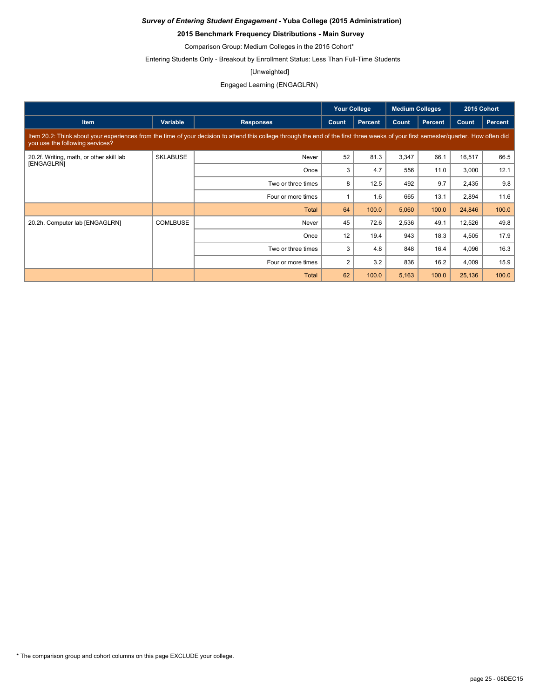### **2015 Benchmark Frequency Distributions - Main Survey**

Comparison Group: Medium Colleges in the 2015 Cohort\*

Entering Students Only - Breakout by Enrollment Status: Less Than Full-Time Students

#### [Unweighted]

### Engaged Learning (ENGAGLRN)

|                                          |                    |                                                                                                                                                                                      | <b>Your College</b> |                | <b>Medium Colleges</b> |                |        | 2015 Cohort    |
|------------------------------------------|--------------------|--------------------------------------------------------------------------------------------------------------------------------------------------------------------------------------|---------------------|----------------|------------------------|----------------|--------|----------------|
| <b>Item</b>                              | Variable           | <b>Responses</b>                                                                                                                                                                     | Count               | <b>Percent</b> | Count                  | <b>Percent</b> | Count  | <b>Percent</b> |
| you use the following services?          |                    | Item 20.2: Think about your experiences from the time of your decision to attend this college through the end of the first three weeks of your first semester/quarter. How often did |                     |                |                        |                |        |                |
| 20.2f. Writing, math, or other skill lab | <b>SKLABUSE</b>    | Never                                                                                                                                                                                | 52                  | 81.3           | 3,347                  | 66.1           | 16,517 | 66.5           |
| <b>[ENGAGLRN]</b>                        |                    | Once                                                                                                                                                                                 | 3                   | 4.7            | 556                    | 11.0           | 3,000  | 12.1           |
|                                          | Two or three times | 8                                                                                                                                                                                    | 12.5                | 492            | 9.7                    | 2,435          | 9.8    |                |
|                                          |                    | Four or more times                                                                                                                                                                   |                     | 1.6            | 665                    | 13.1           | 2,894  | 11.6           |
|                                          |                    | <b>Total</b>                                                                                                                                                                         | 64                  | 100.0          | 5,060                  | 100.0          | 24,846 | 100.0          |
| 20.2h. Computer lab [ENGAGLRN]           | <b>COMLBUSE</b>    | Never                                                                                                                                                                                | 45                  | 72.6           | 2,536                  | 49.1           | 12,526 | 49.8           |
|                                          |                    | Once                                                                                                                                                                                 | 12                  | 19.4           | 943                    | 18.3           | 4,505  | 17.9           |
|                                          |                    | Two or three times                                                                                                                                                                   | 3                   | 4.8            | 848                    | 16.4           | 4,096  | 16.3           |
|                                          |                    | Four or more times                                                                                                                                                                   | $\overline{2}$      | 3.2            | 836                    | 16.2           | 4,009  | 15.9           |
|                                          |                    | <b>Total</b>                                                                                                                                                                         | 62                  | 100.0          | 5,163                  | 100.0          | 25,136 | 100.0          |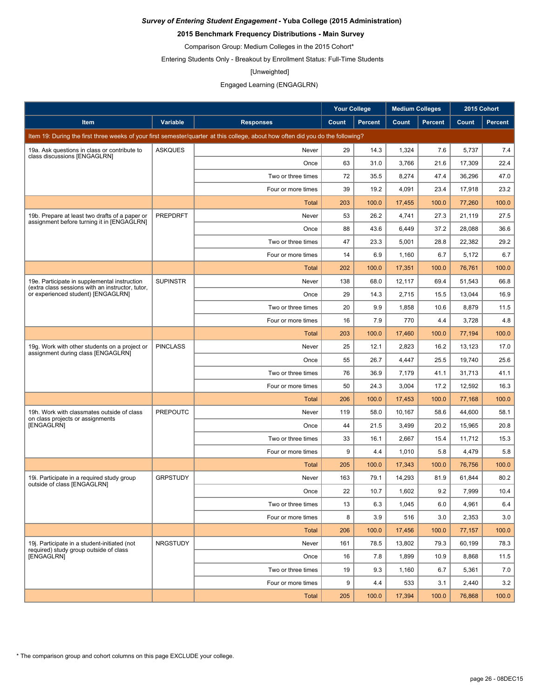### **2015 Benchmark Frequency Distributions - Main Survey**

Comparison Group: Medium Colleges in the 2015 Cohort\*

Entering Students Only - Breakout by Enrollment Status: Full-Time Students

#### [Unweighted]

### Engaged Learning (ENGAGLRN)

|                                                                                                  |                 |                                                                                                                                 | <b>Your College</b> |                | <b>Medium Colleges</b> |                |        | 2015 Cohort    |
|--------------------------------------------------------------------------------------------------|-----------------|---------------------------------------------------------------------------------------------------------------------------------|---------------------|----------------|------------------------|----------------|--------|----------------|
| Item                                                                                             | <b>Variable</b> | <b>Responses</b>                                                                                                                | Count               | <b>Percent</b> | Count                  | <b>Percent</b> | Count  | <b>Percent</b> |
|                                                                                                  |                 | Item 19: During the first three weeks of your first semester/quarter at this college, about how often did you do the following? |                     |                |                        |                |        |                |
| 19a. Ask questions in class or contribute to                                                     | <b>ASKQUES</b>  | Never                                                                                                                           | 29                  | 14.3           | 1,324                  | 7.6            | 5,737  | 7.4            |
| class discussions [ENGAGLRN]                                                                     |                 | Once                                                                                                                            | 63                  | 31.0           | 3,766                  | 21.6           | 17,309 | 22.4           |
|                                                                                                  |                 | Two or three times                                                                                                              | 72                  | 35.5           | 8,274                  | 47.4           | 36,296 | 47.0           |
|                                                                                                  |                 | Four or more times                                                                                                              | 39                  | 19.2           | 4,091                  | 23.4           | 17,918 | 23.2           |
|                                                                                                  |                 | <b>Total</b>                                                                                                                    | 203                 | 100.0          | 17,455                 | 100.0          | 77,260 | 100.0          |
| 19b. Prepare at least two drafts of a paper or                                                   | <b>PREPDRFT</b> | Never                                                                                                                           | 53                  | 26.2           | 4,741                  | 27.3           | 21,119 | 27.5           |
| assignment before turning it in [ENGAGLRN]                                                       |                 | Once                                                                                                                            | 88                  | 43.6           | 6,449                  | 37.2           | 28,088 | 36.6           |
|                                                                                                  |                 | Two or three times                                                                                                              | 47                  | 23.3           | 5,001                  | 28.8           | 22,382 | 29.2           |
|                                                                                                  |                 | Four or more times                                                                                                              | 14                  | 6.9            | 1,160                  | 6.7            | 5,172  | 6.7            |
|                                                                                                  |                 | Total                                                                                                                           | 202                 | 100.0          | 17,351                 | 100.0          | 76,761 | 100.0          |
| 19e. Participate in supplemental instruction<br>(extra class sessions with an instructor, tutor, | <b>SUPINSTR</b> | Never                                                                                                                           | 138                 | 68.0           | 12,117                 | 69.4           | 51,543 | 66.8           |
| or experienced student) [ENGAGLRN]                                                               |                 | Once                                                                                                                            | 29                  | 14.3           | 2,715                  | 15.5           | 13,044 | 16.9           |
|                                                                                                  |                 | Two or three times                                                                                                              | 20                  | 9.9            | 1,858                  | 10.6           | 8,879  | 11.5           |
|                                                                                                  |                 | Four or more times                                                                                                              | 16                  | 7.9            | 770                    | 4.4            | 3,728  | 4.8            |
|                                                                                                  |                 | <b>Total</b>                                                                                                                    | 203                 | 100.0          | 17,460                 | 100.0          | 77,194 | 100.0          |
| 19g. Work with other students on a project or<br>assignment during class [ENGAGLRN]              | <b>PINCLASS</b> | Never                                                                                                                           | 25                  | 12.1           | 2,823                  | 16.2           | 13,123 | 17.0           |
|                                                                                                  |                 | Once                                                                                                                            | 55                  | 26.7           | 4,447                  | 25.5           | 19,740 | 25.6           |
|                                                                                                  |                 | Two or three times                                                                                                              | 76                  | 36.9           | 7,179                  | 41.1           | 31,713 | 41.1           |
|                                                                                                  |                 | Four or more times                                                                                                              | 50                  | 24.3           | 3,004                  | 17.2           | 12,592 | 16.3           |
|                                                                                                  |                 | <b>Total</b>                                                                                                                    | 206                 | 100.0          | 17,453                 | 100.0          | 77,168 | 100.0          |
| 19h. Work with classmates outside of class<br>on class projects or assignments                   | <b>PREPOUTC</b> | Never                                                                                                                           | 119                 | 58.0           | 10,167                 | 58.6           | 44,600 | 58.1           |
| [ENGAGLRN]                                                                                       |                 | Once                                                                                                                            | 44                  | 21.5           | 3,499                  | 20.2           | 15,965 | 20.8           |
|                                                                                                  |                 | Two or three times                                                                                                              | 33                  | 16.1           | 2,667                  | 15.4           | 11,712 | 15.3           |
|                                                                                                  |                 | Four or more times                                                                                                              | 9                   | 4.4            | 1,010                  | 5.8            | 4,479  | 5.8            |
|                                                                                                  |                 | Total                                                                                                                           | 205                 | 100.0          | 17,343                 | 100.0          | 76,756 | 100.0          |
| 19i. Participate in a required study group<br>outside of class [ENGAGLRN]                        | <b>GRPSTUDY</b> | Never                                                                                                                           | 163                 | 79.1           | 14.293                 | 81.9           | 61,844 | 80.2           |
|                                                                                                  |                 | Once                                                                                                                            | 22                  | 10.7           | 1,602                  | 9.2            | 7,999  | 10.4           |
|                                                                                                  |                 | Two or three times                                                                                                              | 13                  | 6.3            | 1,045                  | 6.0            | 4,961  | 6.4            |
|                                                                                                  |                 | Four or more times                                                                                                              | 8                   | 3.9            | 516                    | 3.0            | 2,353  | 3.0            |
|                                                                                                  |                 | <b>Total</b>                                                                                                                    | 206                 | 100.0          | 17,456                 | 100.0          | 77,157 | 100.0          |
| 19j. Participate in a student-initiated (not<br>required) study group outside of class           | <b>NRGSTUDY</b> | Never                                                                                                                           | 161                 | 78.5           | 13,802                 | 79.3           | 60,199 | 78.3           |
| [ENGAGLRN]                                                                                       |                 | Once                                                                                                                            | 16                  | 7.8            | 1,899                  | 10.9           | 8,868  | 11.5           |
|                                                                                                  |                 | Two or three times                                                                                                              | 19                  | 9.3            | 1,160                  | 6.7            | 5,361  | 7.0            |
|                                                                                                  |                 | Four or more times                                                                                                              | 9                   | 4.4            | 533                    | 3.1            | 2,440  | 3.2            |
|                                                                                                  |                 | <b>Total</b>                                                                                                                    | 205                 | 100.0          | 17,394                 | 100.0          | 76,868 | 100.0          |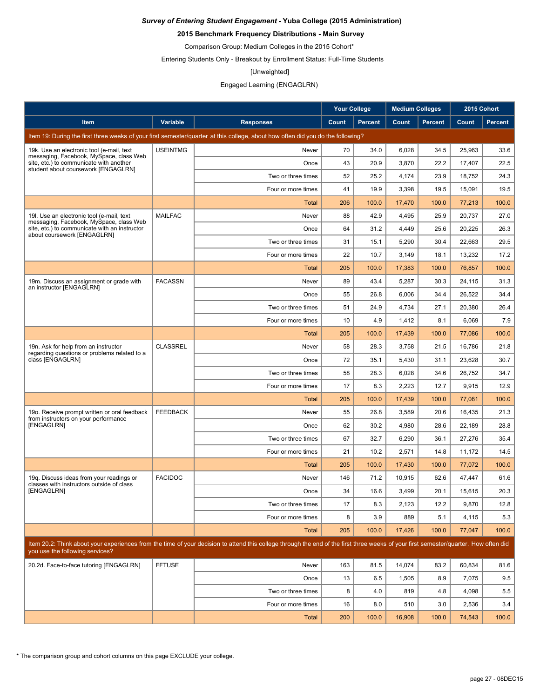### **2015 Benchmark Frequency Distributions - Main Survey**

Comparison Group: Medium Colleges in the 2015 Cohort\*

Entering Students Only - Breakout by Enrollment Status: Full-Time Students

#### [Unweighted]

### Engaged Learning (ENGAGLRN)

|                                                                                                                         |                 |                                                                                                                                                                                      | <b>Your College</b> |                | <b>Medium Colleges</b> |                |        | 2015 Cohort    |
|-------------------------------------------------------------------------------------------------------------------------|-----------------|--------------------------------------------------------------------------------------------------------------------------------------------------------------------------------------|---------------------|----------------|------------------------|----------------|--------|----------------|
| Item                                                                                                                    | Variable        | <b>Responses</b>                                                                                                                                                                     | Count               | <b>Percent</b> | Count                  | <b>Percent</b> | Count  | <b>Percent</b> |
|                                                                                                                         |                 | Item 19: During the first three weeks of your first semester/quarter at this college, about how often did you do the following?                                                      |                     |                |                        |                |        |                |
| 19k. Use an electronic tool (e-mail, text                                                                               | <b>USEINTMG</b> | Never                                                                                                                                                                                | 70                  | 34.0           | 6,028                  | 34.5           | 25,963 | 33.6           |
| messaging, Facebook, MySpace, class Web<br>site, etc.) to communicate with another                                      |                 | Once                                                                                                                                                                                 | 43                  | 20.9           | 3,870                  | 22.2           | 17,407 | 22.5           |
| student about coursework [ENGAGLRN]                                                                                     |                 | Two or three times                                                                                                                                                                   | 52                  | 25.2           | 4,174                  | 23.9           | 18,752 | 24.3           |
|                                                                                                                         |                 | Four or more times                                                                                                                                                                   | 41                  | 19.9           | 3,398                  | 19.5           | 15,091 | 19.5           |
|                                                                                                                         |                 | <b>Total</b>                                                                                                                                                                         | 206                 | 100.0          | 17,470                 | 100.0          | 77.213 | 100.0          |
| 19I. Use an electronic tool (e-mail, text                                                                               | <b>MAILFAC</b>  | Never                                                                                                                                                                                | 88                  | 42.9           | 4,495                  | 25.9           | 20,737 | 27.0           |
| messaging, Facebook, MySpace, class Web<br>site, etc.) to communicate with an instructor<br>about coursework [ENGAGLRN] |                 | Once                                                                                                                                                                                 | 64                  | 31.2           | 4,449                  | 25.6           | 20,225 | 26.3           |
|                                                                                                                         |                 | Two or three times                                                                                                                                                                   | 31                  | 15.1           | 5,290                  | 30.4           | 22,663 | 29.5           |
|                                                                                                                         |                 | Four or more times                                                                                                                                                                   | 22                  | 10.7           | 3,149                  | 18.1           | 13,232 | 17.2           |
|                                                                                                                         |                 | <b>Total</b>                                                                                                                                                                         | 205                 | 100.0          | 17,383                 | 100.0          | 76,857 | 100.0          |
| 19m. Discuss an assignment or grade with                                                                                | <b>FACASSN</b>  | Never                                                                                                                                                                                | 89                  | 43.4           | 5,287                  | 30.3           | 24,115 | 31.3           |
| an instructor [ENGAGLRN]                                                                                                |                 | Once                                                                                                                                                                                 | 55                  | 26.8           | 6,006                  | 34.4           | 26,522 | 34.4           |
|                                                                                                                         |                 | Two or three times                                                                                                                                                                   | 51                  | 24.9           | 4,734                  | 27.1           | 20,380 | 26.4           |
|                                                                                                                         |                 | Four or more times                                                                                                                                                                   | 10                  | 4.9            | 1,412                  | 8.1            | 6,069  | 7.9            |
|                                                                                                                         |                 | <b>Total</b>                                                                                                                                                                         | 205                 | 100.0          | 17,439                 | 100.0          | 77,086 | 100.0          |
| 19n. Ask for help from an instructor<br>regarding questions or problems related to a                                    | <b>CLASSREL</b> | Never                                                                                                                                                                                | 58                  | 28.3           | 3,758                  | 21.5           | 16,786 | 21.8           |
| class [ENGAGLRN]                                                                                                        |                 | Once                                                                                                                                                                                 | 72                  | 35.1           | 5,430                  | 31.1           | 23,628 | 30.7           |
|                                                                                                                         |                 | Two or three times                                                                                                                                                                   | 58                  | 28.3           | 6,028                  | 34.6           | 26,752 | 34.7           |
|                                                                                                                         |                 | Four or more times                                                                                                                                                                   | 17                  | 8.3            | 2,223                  | 12.7           | 9,915  | 12.9           |
|                                                                                                                         |                 | <b>Total</b>                                                                                                                                                                         | 205                 | 100.0          | 17,439                 | 100.0          | 77,081 | 100.0          |
| 19o. Receive prompt written or oral feedback                                                                            | <b>FEEDBACK</b> | Never                                                                                                                                                                                | 55                  | 26.8           | 3,589                  | 20.6           | 16,435 | 21.3           |
| from instructors on your performance<br>[ENGAGLRN]                                                                      |                 | Once                                                                                                                                                                                 | 62                  | 30.2           | 4,980                  | 28.6           | 22,189 | 28.8           |
|                                                                                                                         |                 | Two or three times                                                                                                                                                                   | 67                  | 32.7           | 6,290                  | 36.1           | 27,276 | 35.4           |
|                                                                                                                         |                 | Four or more times                                                                                                                                                                   | 21                  | 10.2           | 2,571                  | 14.8           | 11.172 | 14.5           |
|                                                                                                                         |                 | Total                                                                                                                                                                                | 205                 | 100.0          | 17,430                 | 100.0          | 77,072 | 100.0          |
| 19g. Discuss ideas from your readings or<br>classes with instructors outside of class                                   | <b>FACIDOC</b>  | Never                                                                                                                                                                                | 146                 | 71.2           | 10,915                 | 62.6           | 47,447 | 61.6           |
| [ENGAGLRN]                                                                                                              |                 | Once                                                                                                                                                                                 | 34                  | 16.6           | 3,499                  | 20.1           | 15,615 | 20.3           |
|                                                                                                                         |                 | Two or three times                                                                                                                                                                   | 17                  | 8.3            | 2,123                  | 12.2           | 9,870  | 12.8           |
|                                                                                                                         |                 | Four or more times                                                                                                                                                                   | 8                   | 3.9            | 889                    | 5.1            | 4,115  | 5.3            |
|                                                                                                                         |                 | <b>Total</b>                                                                                                                                                                         | 205                 | 100.0          | 17,426                 | 100.0          | 77,047 | 100.0          |
| you use the following services?                                                                                         |                 | Item 20.2: Think about your experiences from the time of your decision to attend this college through the end of the first three weeks of your first semester/quarter. How often did |                     |                |                        |                |        |                |
| 20.2d. Face-to-face tutoring [ENGAGLRN]                                                                                 | <b>FFTUSE</b>   | Never                                                                                                                                                                                | 163                 | 81.5           | 14,074                 | 83.2           | 60,834 | 81.6           |
|                                                                                                                         |                 | Once                                                                                                                                                                                 | 13                  | 6.5            | 1,505                  | 8.9            | 7,075  | 9.5            |
|                                                                                                                         |                 | Two or three times                                                                                                                                                                   | 8                   | 4.0            | 819                    | 4.8            | 4,098  | 5.5            |
|                                                                                                                         |                 | Four or more times                                                                                                                                                                   | 16                  | 8.0            | 510                    | 3.0            | 2,536  | 3.4            |
|                                                                                                                         |                 | Total                                                                                                                                                                                | 200                 | 100.0          | 16,908                 | 100.0          | 74,543 | 100.0          |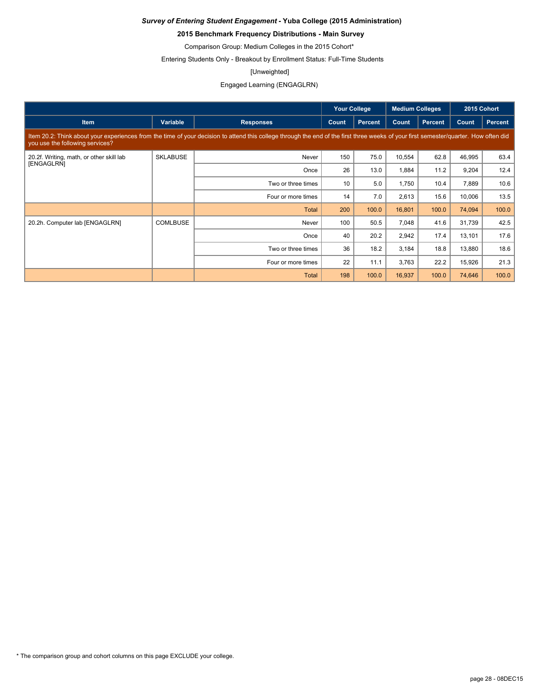### **2015 Benchmark Frequency Distributions - Main Survey**

Comparison Group: Medium Colleges in the 2015 Cohort\*

Entering Students Only - Breakout by Enrollment Status: Full-Time Students

#### [Unweighted]

Engaged Learning (ENGAGLRN)

|                                          |                 |                                                                                                                                                                                      | <b>Your College</b> |                | <b>Medium Colleges</b> |                |        | 2015 Cohort |
|------------------------------------------|-----------------|--------------------------------------------------------------------------------------------------------------------------------------------------------------------------------------|---------------------|----------------|------------------------|----------------|--------|-------------|
| <b>Item</b>                              | Variable        | <b>Responses</b>                                                                                                                                                                     | Count               | <b>Percent</b> | Count                  | <b>Percent</b> | Count  | Percent     |
| you use the following services?          |                 | Item 20.2: Think about your experiences from the time of your decision to attend this college through the end of the first three weeks of your first semester/quarter. How often did |                     |                |                        |                |        |             |
| 20.2f. Writing, math, or other skill lab | <b>SKLABUSE</b> | Never                                                                                                                                                                                | 150                 | 75.0           | 10,554                 | 62.8           | 46,995 | 63.4        |
| [ENGAGLRN]                               |                 | Once                                                                                                                                                                                 | 26                  | 13.0           | 1,884                  | 11.2           | 9,204  | 12.4        |
|                                          |                 | Two or three times                                                                                                                                                                   | 10                  | 5.0            | 1,750                  | 10.4           | 7,889  | 10.6        |
|                                          |                 | Four or more times                                                                                                                                                                   | 14                  | 7.0            | 2,613                  | 15.6           | 10,006 | 13.5        |
|                                          |                 | <b>Total</b>                                                                                                                                                                         | 200                 | 100.0          | 16,801                 | 100.0          | 74,094 | 100.0       |
| 20.2h. Computer lab [ENGAGLRN]           | <b>COMLBUSE</b> | Never                                                                                                                                                                                | 100                 | 50.5           | 7,048                  | 41.6           | 31,739 | 42.5        |
|                                          |                 | Once                                                                                                                                                                                 | 40                  | 20.2           | 2,942                  | 17.4           | 13,101 | 17.6        |
|                                          |                 | Two or three times                                                                                                                                                                   | 36                  | 18.2           | 3,184                  | 18.8           | 13,880 | 18.6        |
|                                          |                 | Four or more times                                                                                                                                                                   | 22                  | 11.1           | 3,763                  | 22.2           | 15,926 | 21.3        |
|                                          |                 | <b>Total</b>                                                                                                                                                                         | 198                 | 100.0          | 16,937                 | 100.0          | 74,646 | 100.0       |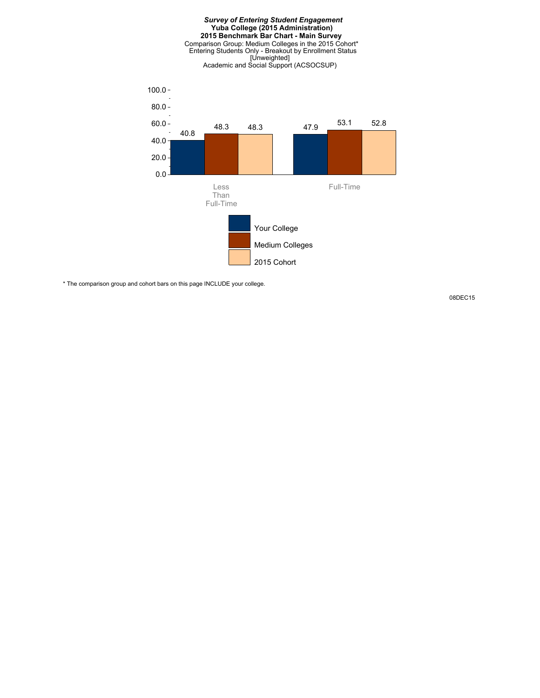

\* The comparison group and cohort bars on this page INCLUDE your college.

08DEC15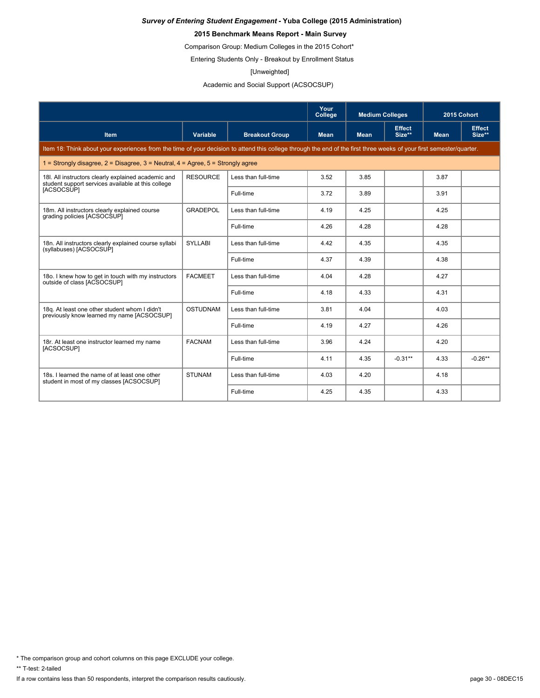### **2015 Benchmark Means Report - Main Survey**

Comparison Group: Medium Colleges in the 2015 Cohort\*

Entering Students Only - Breakout by Enrollment Status

#### [Unweighted]

Academic and Social Support (ACSOCSUP)

|                                                                                                                                                                      |                 |                       | Your<br>College | <b>Medium Colleges</b> |                         | 2015 Cohort |                         |
|----------------------------------------------------------------------------------------------------------------------------------------------------------------------|-----------------|-----------------------|-----------------|------------------------|-------------------------|-------------|-------------------------|
| <b>Item</b>                                                                                                                                                          | Variable        | <b>Breakout Group</b> | <b>Mean</b>     | <b>Mean</b>            | <b>Effect</b><br>Size** | <b>Mean</b> | <b>Effect</b><br>Size** |
| Item 18: Think about your experiences from the time of your decision to attend this college through the end of the first three weeks of your first semester/quarter. |                 |                       |                 |                        |                         |             |                         |
| 1 = Strongly disagree, $2$ = Disagree, $3$ = Neutral, $4$ = Agree, $5$ = Strongly agree                                                                              |                 |                       |                 |                        |                         |             |                         |
| 18I. All instructors clearly explained academic and<br>student support services available at this college                                                            | <b>RESOURCE</b> | Less than full-time   | 3.52            | 3.85                   |                         | 3.87        |                         |
| [ACSOCSUP]                                                                                                                                                           |                 | Full-time             | 3.72            | 3.89                   |                         | 3.91        |                         |
| 18m. All instructors clearly explained course<br>grading policies [ACSOCSUP]                                                                                         | <b>GRADEPOL</b> | Less than full-time   | 4.19            | 4.25                   |                         | 4.25        |                         |
|                                                                                                                                                                      |                 | Full-time             | 4.26            | 4.28                   |                         | 4.28        |                         |
| 18n. All instructors clearly explained course syllabi<br>(syllabuses) [ACSOCSUP]                                                                                     | <b>SYLLABI</b>  | Less than full-time   | 4.42            | 4.35                   |                         | 4.35        |                         |
|                                                                                                                                                                      |                 | Full-time             | 4.37            | 4.39                   |                         | 4.38        |                         |
| 180. I knew how to get in touch with my instructors<br>outside of class [ACSOCSUP]                                                                                   | <b>FACMEET</b>  | Less than full-time   | 4.04            | 4.28                   |                         | 4.27        |                         |
|                                                                                                                                                                      |                 | Full-time             | 4.18            | 4.33                   |                         | 4.31        |                         |
| 18g. At least one other student whom I didn't<br>previously know learned my name [ACSOCSUP]                                                                          | <b>OSTUDNAM</b> | Less than full-time   | 3.81            | 4.04                   |                         | 4.03        |                         |
|                                                                                                                                                                      |                 | Full-time             | 4.19            | 4.27                   |                         | 4.26        |                         |
| 18r. At least one instructor learned my name<br>[ACSOCSUP]                                                                                                           | <b>FACNAM</b>   | Less than full-time   | 3.96            | 4.24                   |                         | 4.20        |                         |
|                                                                                                                                                                      |                 | Full-time             | 4.11            | 4.35                   | $-0.31**$               | 4.33        | $-0.26**$               |
| 18s. I learned the name of at least one other<br>student in most of my classes [ACSOCSUP]                                                                            | <b>STUNAM</b>   | Less than full-time   | 4.03            | 4.20                   |                         | 4.18        |                         |
|                                                                                                                                                                      |                 | Full-time             | 4.25            | 4.35                   |                         | 4.33        |                         |

\* The comparison group and cohort columns on this page EXCLUDE your college.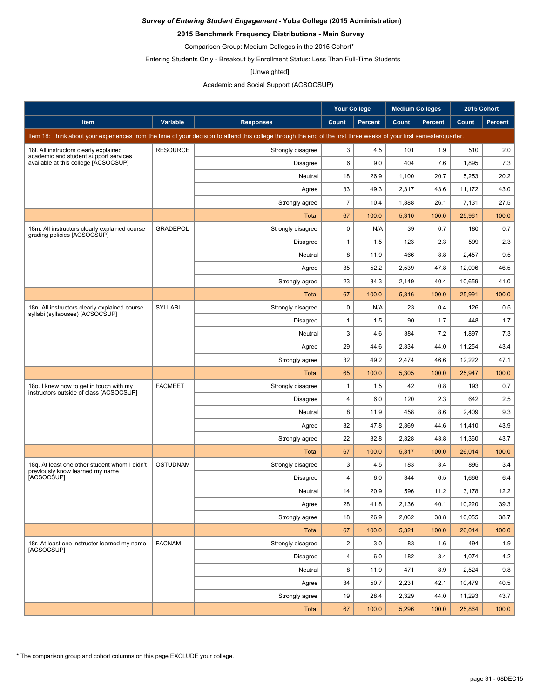### **2015 Benchmark Frequency Distributions - Main Survey**

Comparison Group: Medium Colleges in the 2015 Cohort\*

Entering Students Only - Breakout by Enrollment Status: Less Than Full-Time Students

#### [Unweighted]

### Academic and Social Support (ACSOCSUP)

|                                                                                                                                                                      |                 |                   | <b>Your College</b> |                | <b>Medium Colleges</b> |                | 2015 Cohort |                |
|----------------------------------------------------------------------------------------------------------------------------------------------------------------------|-----------------|-------------------|---------------------|----------------|------------------------|----------------|-------------|----------------|
| Item                                                                                                                                                                 | <b>Variable</b> | <b>Responses</b>  | Count               | <b>Percent</b> | Count                  | <b>Percent</b> | Count       | <b>Percent</b> |
| Item 18: Think about your experiences from the time of your decision to attend this college through the end of the first three weeks of your first semester/quarter. |                 |                   |                     |                |                        |                |             |                |
| 18I. All instructors clearly explained<br>academic and student support services<br>available at this college [ACSOCSUP]                                              | <b>RESOURCE</b> | Strongly disagree | 3                   | 4.5            | 101                    | 1.9            | 510         | 2.0            |
|                                                                                                                                                                      |                 | <b>Disagree</b>   | 6                   | 9.0            | 404                    | 7.6            | 1,895       | 7.3            |
|                                                                                                                                                                      |                 | Neutral           | 18                  | 26.9           | 1,100                  | 20.7           | 5,253       | 20.2           |
|                                                                                                                                                                      |                 | Agree             | 33                  | 49.3           | 2,317                  | 43.6           | 11,172      | 43.0           |
|                                                                                                                                                                      |                 | Strongly agree    | $\overline{7}$      | 10.4           | 1,388                  | 26.1           | 7,131       | 27.5           |
|                                                                                                                                                                      |                 | Total             | 67                  | 100.0          | 5,310                  | 100.0          | 25,961      | 100.0          |
| 18m. All instructors clearly explained course<br>grading policies [ACSOCSUP]                                                                                         | <b>GRADEPOL</b> | Strongly disagree | 0                   | N/A            | 39                     | 0.7            | 180         | 0.7            |
|                                                                                                                                                                      |                 | <b>Disagree</b>   | $\mathbf{1}$        | 1.5            | 123                    | 2.3            | 599         | 2.3            |
|                                                                                                                                                                      |                 | Neutral           | 8                   | 11.9           | 466                    | 8.8            | 2,457       | 9.5            |
|                                                                                                                                                                      |                 | Agree             | 35                  | 52.2           | 2,539                  | 47.8           | 12,096      | 46.5           |
|                                                                                                                                                                      |                 | Strongly agree    | 23                  | 34.3           | 2,149                  | 40.4           | 10,659      | 41.0           |
|                                                                                                                                                                      |                 | <b>Total</b>      | 67                  | 100.0          | 5,316                  | 100.0          | 25,991      | 100.0          |
| 18n. All instructors clearly explained course<br>syllabi (syllabuses) [ACSOCSUP]                                                                                     | SYLLABI         | Strongly disagree | 0                   | N/A            | 23                     | 0.4            | 126         | 0.5            |
|                                                                                                                                                                      |                 | <b>Disagree</b>   | $\mathbf{1}$        | 1.5            | 90                     | 1.7            | 448         | 1.7            |
|                                                                                                                                                                      |                 | Neutral           | 3                   | 4.6            | 384                    | 7.2            | 1,897       | 7.3            |
|                                                                                                                                                                      |                 | Agree             | 29                  | 44.6           | 2,334                  | 44.0           | 11,254      | 43.4           |
|                                                                                                                                                                      |                 | Strongly agree    | 32                  | 49.2           | 2,474                  | 46.6           | 12,222      | 47.1           |
|                                                                                                                                                                      |                 | Total             | 65                  | 100.0          | 5,305                  | 100.0          | 25,947      | 100.0          |
| 180. I knew how to get in touch with my<br>instructors outside of class [ACSOCSUP]                                                                                   | <b>FACMEET</b>  | Strongly disagree | $\mathbf{1}$        | 1.5            | 42                     | 0.8            | 193         | 0.7            |
|                                                                                                                                                                      |                 | <b>Disagree</b>   | 4                   | 6.0            | 120                    | 2.3            | 642         | 2.5            |
|                                                                                                                                                                      |                 | Neutral           | 8                   | 11.9           | 458                    | 8.6            | 2,409       | 9.3            |
|                                                                                                                                                                      |                 | Agree             | 32                  | 47.8           | 2,369                  | 44.6           | 11,410      | 43.9           |
|                                                                                                                                                                      |                 | Strongly agree    | 22                  | 32.8           | 2,328                  | 43.8           | 11,360      | 43.7           |
|                                                                                                                                                                      |                 | Total             | 67                  | 100.0          | 5,317                  | 100.0          | 26,014      | 100.0          |
| 18g. At least one other student whom I didn't<br>previously know learned my name                                                                                     | <b>OSTUDNAM</b> | Strongly disagree | 3                   | 4.5            | 183                    | 3.4            | 895         | 3.4            |
| [ACSOCSUP]                                                                                                                                                           |                 | <b>Disagree</b>   | 4                   | 6.0            | 344                    | 6.5            | 1,666       | 6.4            |
|                                                                                                                                                                      |                 | Neutral           | 14                  | 20.9           | 596                    | 11.2           | 3,178       | 12.2           |
|                                                                                                                                                                      |                 | Agree             | 28                  | 41.8           | 2,136                  | 40.1           | 10,220      | 39.3           |
|                                                                                                                                                                      |                 | Strongly agree    | 18                  | 26.9           | 2,062                  | 38.8           | 10,055      | 38.7           |
|                                                                                                                                                                      |                 | Total             | 67                  | 100.0          | 5,321                  | 100.0          | 26,014      | 100.0          |
| 18r. At least one instructor learned my name<br>[ACSOCSUP]                                                                                                           | <b>FACNAM</b>   | Strongly disagree | $\overline{2}$      | 3.0            | 83                     | 1.6            | 494         | 1.9            |
|                                                                                                                                                                      |                 | Disagree          | $\overline{4}$      | 6.0            | 182                    | 3.4            | 1,074       | 4.2            |
|                                                                                                                                                                      |                 | Neutral           | 8                   | 11.9           | 471                    | 8.9            | 2,524       | 9.8            |
|                                                                                                                                                                      |                 | Agree             | 34                  | 50.7           | 2,231                  | 42.1           | 10,479      | 40.5           |
|                                                                                                                                                                      |                 | Strongly agree    | 19                  | 28.4           | 2,329                  | 44.0           | 11,293      | 43.7           |
|                                                                                                                                                                      |                 | Total             | 67                  | 100.0          | 5,296                  | 100.0          | 25,864      | 100.0          |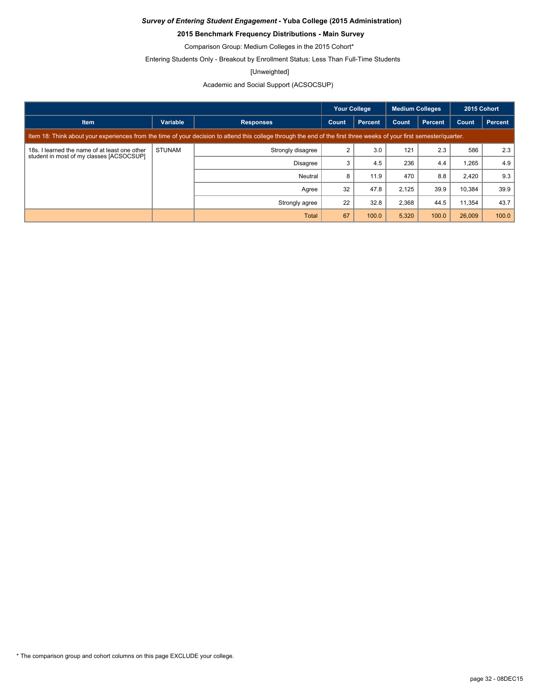### **2015 Benchmark Frequency Distributions - Main Survey**

Comparison Group: Medium Colleges in the 2015 Cohort\*

Entering Students Only - Breakout by Enrollment Status: Less Than Full-Time Students

#### [Unweighted]

### Academic and Social Support (ACSOCSUP)

|                                                                                                                                                                      |               |                   | <b>Your College</b> |                | <b>Medium Colleges</b> |                | 2015 Cohort |                |
|----------------------------------------------------------------------------------------------------------------------------------------------------------------------|---------------|-------------------|---------------------|----------------|------------------------|----------------|-------------|----------------|
| <b>Item</b>                                                                                                                                                          | Variable      | <b>Responses</b>  | Count               | <b>Percent</b> | Count                  | <b>Percent</b> | Count       | <b>Percent</b> |
| Item 18: Think about your experiences from the time of your decision to attend this college through the end of the first three weeks of your first semester/quarter. |               |                   |                     |                |                        |                |             |                |
| 18s. I learned the name of at least one other<br>student in most of my classes [ACSOCSUP]                                                                            | <b>STUNAM</b> | Strongly disagree | 2                   | 3.0            | 121                    | 2.3            | 586         | 2.3            |
|                                                                                                                                                                      |               | <b>Disagree</b>   | 3                   | 4.5            | 236                    | 4.4            | ,265        | 4.9            |
|                                                                                                                                                                      |               | Neutral           | 8                   | 11.9           | 470                    | 8.8            | 2,420       | 9.3            |
|                                                                                                                                                                      |               | Agree             | 32                  | 47.8           | 2,125                  | 39.9           | 10,384      | 39.9           |
|                                                                                                                                                                      |               | Strongly agree    | 22                  | 32.8           | 2,368                  | 44.5           | 11,354      | 43.7           |
|                                                                                                                                                                      |               | <b>Total</b>      | 67                  | 100.0          | 5,320                  | 100.0          | 26,009      | 100.0          |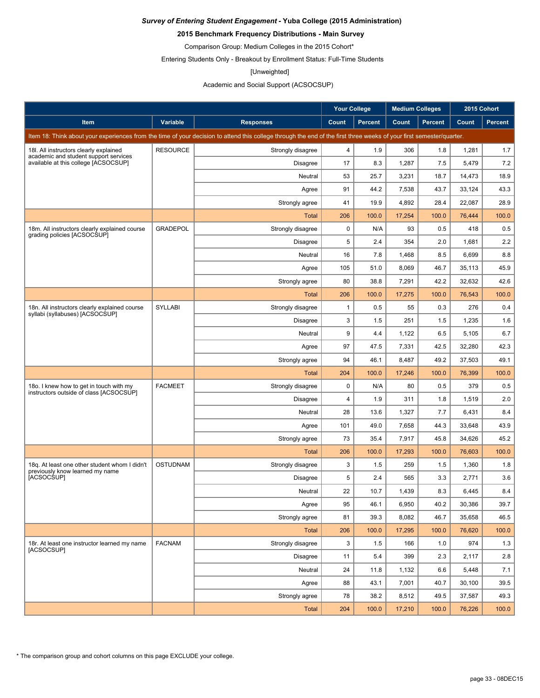### **2015 Benchmark Frequency Distributions - Main Survey**

Comparison Group: Medium Colleges in the 2015 Cohort\*

Entering Students Only - Breakout by Enrollment Status: Full-Time Students

#### [Unweighted]

### Academic and Social Support (ACSOCSUP)

|                                                                                                                                                                      |                 |                   | <b>Your College</b> |                | <b>Medium Colleges</b> |                | 2015 Cohort |                |
|----------------------------------------------------------------------------------------------------------------------------------------------------------------------|-----------------|-------------------|---------------------|----------------|------------------------|----------------|-------------|----------------|
| Item                                                                                                                                                                 | Variable        | <b>Responses</b>  | Count               | <b>Percent</b> | Count                  | <b>Percent</b> | Count       | <b>Percent</b> |
| Item 18: Think about your experiences from the time of your decision to attend this college through the end of the first three weeks of your first semester/quarter. |                 |                   |                     |                |                        |                |             |                |
| 18I. All instructors clearly explained<br>academic and student support services<br>available at this college [ACSOCSUP]                                              | <b>RESOURCE</b> | Strongly disagree | 4                   | 1.9            | 306                    | 1.8            | 1,281       | 1.7            |
|                                                                                                                                                                      |                 | <b>Disagree</b>   | 17                  | 8.3            | 1,287                  | 7.5            | 5,479       | 7.2            |
|                                                                                                                                                                      |                 | Neutral           | 53                  | 25.7           | 3,231                  | 18.7           | 14,473      | 18.9           |
|                                                                                                                                                                      |                 | Agree             | 91                  | 44.2           | 7,538                  | 43.7           | 33,124      | 43.3           |
|                                                                                                                                                                      |                 | Strongly agree    | 41                  | 19.9           | 4,892                  | 28.4           | 22,087      | 28.9           |
|                                                                                                                                                                      |                 | <b>Total</b>      | 206                 | 100.0          | 17,254                 | 100.0          | 76,444      | 100.0          |
| 18m. All instructors clearly explained course<br>grading policies [ACSOCSUP]                                                                                         | <b>GRADEPOL</b> | Strongly disagree | $\mathbf 0$         | N/A            | 93                     | 0.5            | 418         | 0.5            |
|                                                                                                                                                                      |                 | <b>Disagree</b>   | 5                   | 2.4            | 354                    | 2.0            | 1,681       | 2.2            |
|                                                                                                                                                                      |                 | Neutral           | 16                  | 7.8            | 1,468                  | 8.5            | 6,699       | 8.8            |
|                                                                                                                                                                      |                 | Agree             | 105                 | 51.0           | 8,069                  | 46.7           | 35,113      | 45.9           |
|                                                                                                                                                                      |                 | Strongly agree    | 80                  | 38.8           | 7,291                  | 42.2           | 32,632      | 42.6           |
|                                                                                                                                                                      |                 | <b>Total</b>      | 206                 | 100.0          | 17,275                 | 100.0          | 76,543      | 100.0          |
| 18n. All instructors clearly explained course<br>syllabi (syllabuses) [ACSOCSUP]                                                                                     | SYLLABI         | Strongly disagree | $\mathbf{1}$        | 0.5            | 55                     | 0.3            | 276         | 0.4            |
|                                                                                                                                                                      |                 | <b>Disagree</b>   | 3                   | 1.5            | 251                    | 1.5            | 1,235       | 1.6            |
|                                                                                                                                                                      |                 | Neutral           | 9                   | 4.4            | 1,122                  | 6.5            | 5,105       | 6.7            |
|                                                                                                                                                                      |                 | Agree             | 97                  | 47.5           | 7,331                  | 42.5           | 32,280      | 42.3           |
|                                                                                                                                                                      |                 | Strongly agree    | 94                  | 46.1           | 8,487                  | 49.2           | 37,503      | 49.1           |
|                                                                                                                                                                      |                 | Total             | 204                 | 100.0          | 17,246                 | 100.0          | 76,399      | 100.0          |
| 180. I knew how to get in touch with my<br>instructors outside of class [ACSOCSUP]                                                                                   | <b>FACMEET</b>  | Strongly disagree | $\mathbf 0$         | N/A            | 80                     | 0.5            | 379         | 0.5            |
|                                                                                                                                                                      |                 | <b>Disagree</b>   | $\overline{4}$      | 1.9            | 311                    | 1.8            | 1,519       | 2.0            |
|                                                                                                                                                                      |                 | Neutral           | 28                  | 13.6           | 1,327                  | 7.7            | 6,431       | 8.4            |
|                                                                                                                                                                      |                 | Agree             | 101                 | 49.0           | 7,658                  | 44.3           | 33,648      | 43.9           |
|                                                                                                                                                                      |                 | Strongly agree    | 73                  | 35.4           | 7,917                  | 45.8           | 34,626      | 45.2           |
|                                                                                                                                                                      |                 | <b>Total</b>      | 206                 | 100.0          | 17,293                 | 100.0          | 76,603      | 100.0          |
| 18g. At least one other student whom I didn't<br>previously know learned my name                                                                                     | <b>OSTUDNAM</b> | Strongly disagree | 3                   | 1.5            | 259                    | 1.5            | 1,360       | 1.8            |
| [ACSOCSUP]                                                                                                                                                           |                 | <b>Disagree</b>   | 5                   | 2.4            | 565                    | 3.3            | 2,771       | 3.6            |
|                                                                                                                                                                      |                 | Neutral           | 22                  | 10.7           | 1,439                  | 8.3            | 6,445       | 8.4            |
|                                                                                                                                                                      |                 | Agree             | 95                  | 46.1           | 6,950                  | 40.2           | 30,386      | 39.7           |
|                                                                                                                                                                      |                 | Strongly agree    | 81                  | 39.3           | 8,082                  | 46.7           | 35,658      | 46.5           |
|                                                                                                                                                                      |                 | <b>Total</b>      | 206                 | 100.0          | 17,295                 | 100.0          | 76,620      | 100.0          |
| 18r. At least one instructor learned my name<br>[ACSOCSUP]                                                                                                           | <b>FACNAM</b>   | Strongly disagree | 3                   | 1.5            | 166                    | 1.0            | 974         | 1.3            |
|                                                                                                                                                                      |                 | Disagree          | 11                  | 5.4            | 399                    | 2.3            | 2,117       | 2.8            |
|                                                                                                                                                                      |                 | Neutral           | 24                  | 11.8           | 1,132                  | 6.6            | 5,448       | 7.1            |
|                                                                                                                                                                      |                 | Agree             | 88                  | 43.1           | 7,001                  | 40.7           | 30,100      | 39.5           |
|                                                                                                                                                                      |                 | Strongly agree    | 78                  | 38.2           | 8,512                  | 49.5           | 37,587      | 49.3           |
|                                                                                                                                                                      |                 | Total             | 204                 | 100.0          | 17,210                 | 100.0          | 76,226      | 100.0          |